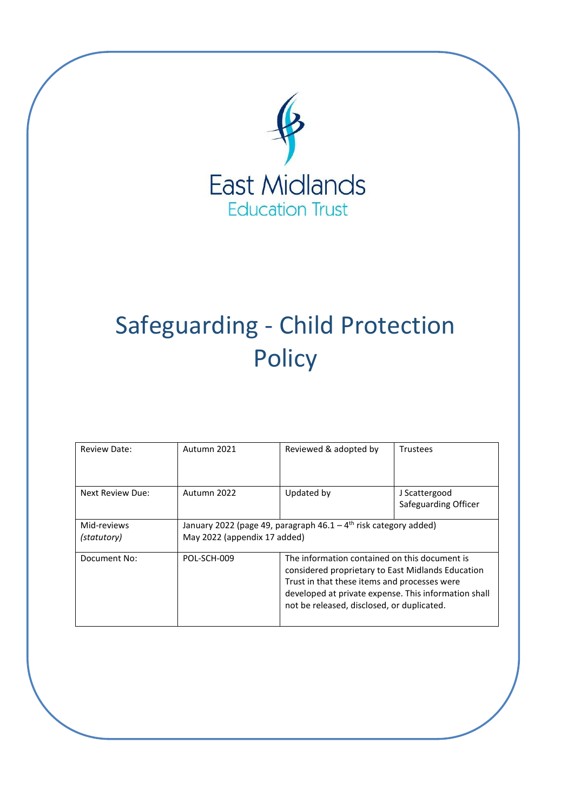

# Safeguarding - Child Protection **Policy**

| Review Date:               | Autumn 2021                                                                                                    | Reviewed & adopted by                                                                                                                                                                                                                                    | <b>Trustees</b>                       |
|----------------------------|----------------------------------------------------------------------------------------------------------------|----------------------------------------------------------------------------------------------------------------------------------------------------------------------------------------------------------------------------------------------------------|---------------------------------------|
| Next Review Due:           | Autumn 2022                                                                                                    | Updated by                                                                                                                                                                                                                                               | J Scattergood<br>Safeguarding Officer |
| Mid-reviews<br>(statutory) | January 2022 (page 49, paragraph $46.1 - 4$ <sup>th</sup> risk category added)<br>May 2022 (appendix 17 added) |                                                                                                                                                                                                                                                          |                                       |
| Document No:               | POL-SCH-009                                                                                                    | The information contained on this document is<br>considered proprietary to East Midlands Education<br>Trust in that these items and processes were<br>developed at private expense. This information shall<br>not be released, disclosed, or duplicated. |                                       |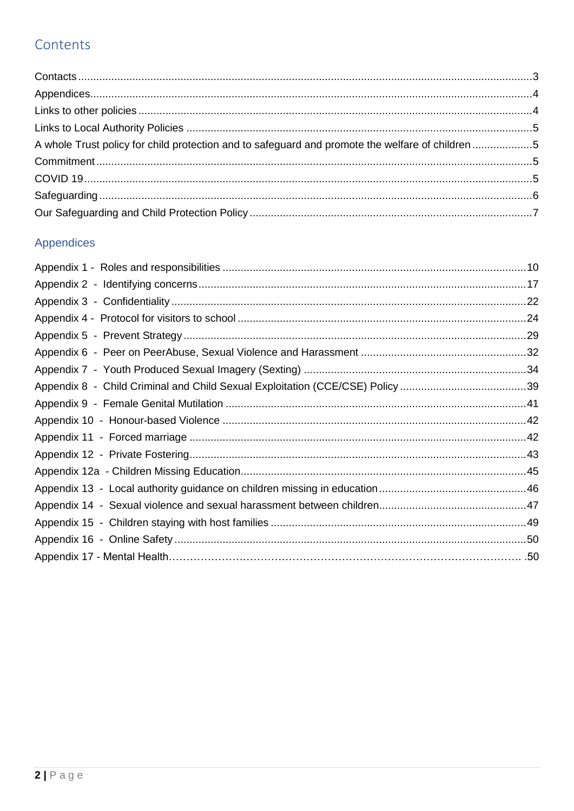# Contents

| A whole Trust policy for child protection and to safeguard and promote the welfare of children 5 |  |
|--------------------------------------------------------------------------------------------------|--|
|                                                                                                  |  |
|                                                                                                  |  |
|                                                                                                  |  |
|                                                                                                  |  |

# Appendices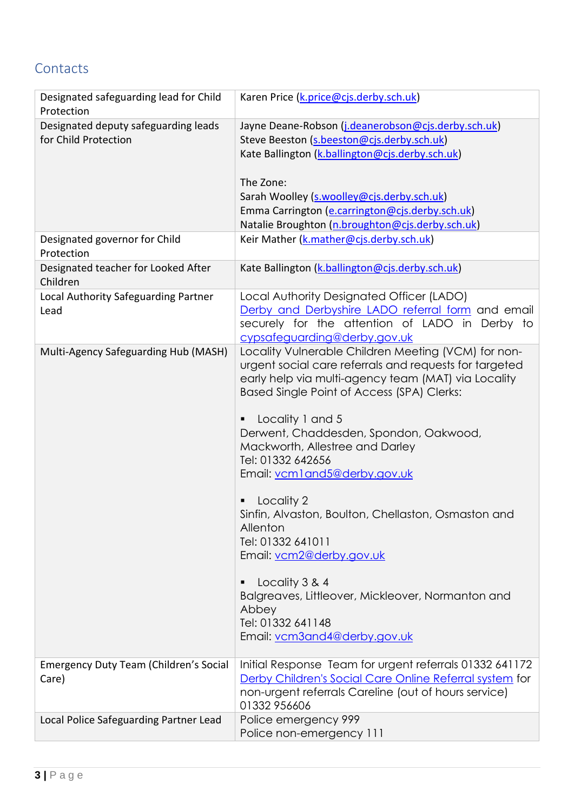# <span id="page-2-0"></span>**Contacts**

| Designated safeguarding lead for Child<br>Protection | Karen Price (k.price@cjs.derby.sch.uk)                     |  |
|------------------------------------------------------|------------------------------------------------------------|--|
| Designated deputy safeguarding leads                 | Jayne Deane-Robson (j.deanerobson@cjs.derby.sch.uk)        |  |
| for Child Protection                                 | Steve Beeston (s.beeston@cjs.derby.sch.uk)                 |  |
|                                                      | Kate Ballington (k.ballington@cjs.derby.sch.uk)            |  |
|                                                      |                                                            |  |
|                                                      | The Zone:                                                  |  |
|                                                      | Sarah Woolley (s.woolley@cjs.derby.sch.uk)                 |  |
|                                                      | Emma Carrington (e.carrington@cjs.derby.sch.uk)            |  |
|                                                      | Natalie Broughton (n.broughton@cjs.derby.sch.uk)           |  |
| Designated governor for Child<br>Protection          | Keir Mather (k.mather@cjs.derby.sch.uk)                    |  |
| Designated teacher for Looked After<br>Children      | Kate Ballington (k.ballington@cjs.derby.sch.uk)            |  |
| Local Authority Safeguarding Partner                 | Local Authority Designated Officer (LADO)                  |  |
| Lead                                                 | Derby and Derbyshire LADO referral form and email          |  |
|                                                      | securely for the attention of LADO in Derby to             |  |
|                                                      | cypsafeguarding@derby.gov.uk                               |  |
| Multi-Agency Safeguarding Hub (MASH)                 | Locality Vulnerable Children Meeting (VCM) for non-        |  |
|                                                      | urgent social care referrals and requests for targeted     |  |
|                                                      | early help via multi-agency team (MAT) via Locality        |  |
|                                                      | Based Single Point of Access (SPA) Clerks:                 |  |
|                                                      |                                                            |  |
|                                                      | Locality 1 and 5<br>Derwent, Chaddesden, Spondon, Oakwood, |  |
|                                                      | Mackworth, Allestree and Darley                            |  |
|                                                      | Tel: 01332 642656                                          |  |
|                                                      | Email: vcm1and5@derby.gov.uk                               |  |
|                                                      |                                                            |  |
|                                                      | Locality 2                                                 |  |
|                                                      | Sinfin, Alvaston, Boulton, Chellaston, Osmaston and        |  |
|                                                      | Allenton                                                   |  |
|                                                      | Tel: 01332 641011                                          |  |
|                                                      | Email: vcm2@derby.gov.uk                                   |  |
|                                                      |                                                            |  |
|                                                      | Locality 3 & 4                                             |  |
|                                                      | Balgreaves, Littleover, Mickleover, Normanton and          |  |
|                                                      | Abbey                                                      |  |
|                                                      | Tel: 01332 641148                                          |  |
|                                                      | Email: vcm3and4@derby.gov.uk                               |  |
| Emergency Duty Team (Children's Social               | Initial Response Team for urgent referrals 01332 641172    |  |
| Care)                                                | Derby Children's Social Care Online Referral system for    |  |
|                                                      | non-urgent referrals Careline (out of hours service)       |  |
|                                                      | 01332 956606                                               |  |
| Local Police Safeguarding Partner Lead               | Police emergency 999                                       |  |
|                                                      | Police non-emergency 111                                   |  |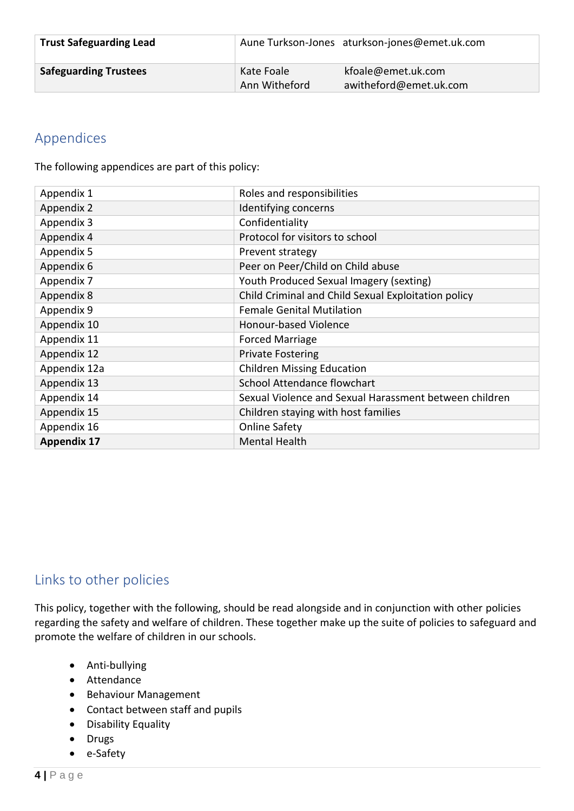| <b>Trust Safeguarding Lead</b> |                             | Aune Turkson-Jones aturkson-jones@emet.uk.com |
|--------------------------------|-----------------------------|-----------------------------------------------|
| <b>Safeguarding Trustees</b>   | Kate Foale<br>Ann Witheford | kfoale@emet.uk.com<br>awitheford@emet.uk.com  |

### <span id="page-3-0"></span>Appendices

The following appendices are part of this policy:

| Appendix 1         | Roles and responsibilities                             |
|--------------------|--------------------------------------------------------|
| Appendix 2         | Identifying concerns                                   |
| Appendix 3         | Confidentiality                                        |
| Appendix 4         | Protocol for visitors to school                        |
| Appendix 5         | Prevent strategy                                       |
| Appendix 6         | Peer on Peer/Child on Child abuse                      |
| Appendix 7         | Youth Produced Sexual Imagery (sexting)                |
| Appendix 8         | Child Criminal and Child Sexual Exploitation policy    |
| Appendix 9         | <b>Female Genital Mutilation</b>                       |
| Appendix 10        | Honour-based Violence                                  |
| Appendix 11        | <b>Forced Marriage</b>                                 |
| Appendix 12        | <b>Private Fostering</b>                               |
| Appendix 12a       | <b>Children Missing Education</b>                      |
| Appendix 13        | School Attendance flowchart                            |
| Appendix 14        | Sexual Violence and Sexual Harassment between children |
| Appendix 15        | Children staying with host families                    |
| Appendix 16        | <b>Online Safety</b>                                   |
| <b>Appendix 17</b> | <b>Mental Health</b>                                   |

### <span id="page-3-1"></span>Links to other policies

This policy, together with the following, should be read alongside and in conjunction with other policies regarding the safety and welfare of children. These together make up the suite of policies to safeguard and promote the welfare of children in our schools.

- Anti-bullying
- Attendance
- Behaviour Management
- Contact between staff and pupils
- Disability Equality
- Drugs
- e-Safety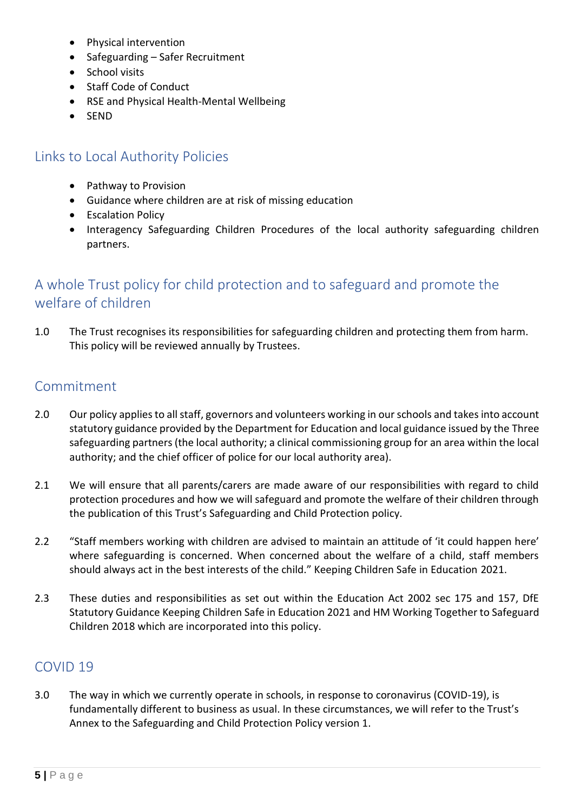- Physical intervention
- Safeguarding Safer Recruitment
- School visits
- Staff Code of Conduct
- RSE and Physical Health-Mental Wellbeing
- SEND

### <span id="page-4-0"></span>Links to Local Authority Policies

- Pathway to Provision
- Guidance where children are at risk of missing education
- Escalation Policy
- Interagency Safeguarding Children Procedures of the local authority safeguarding children partners.

## <span id="page-4-1"></span>A whole Trust policy for child protection and to safeguard and promote the welfare of children

1.0 The Trust recognises its responsibilities for safeguarding children and protecting them from harm. This policy will be reviewed annually by Trustees.

### <span id="page-4-2"></span>Commitment

- 2.0 Our policy applies to all staff, governors and volunteers working in our schools and takes into account statutory guidance provided by the Department for Education and local guidance issued by the Three safeguarding partners (the local authority; a clinical commissioning group for an area within the local authority; and the chief officer of police for our local authority area).
- 2.1 We will ensure that all parents/carers are made aware of our responsibilities with regard to child protection procedures and how we will safeguard and promote the welfare of their children through the publication of this Trust's Safeguarding and Child Protection policy.
- 2.2 "Staff members working with children are advised to maintain an attitude of 'it could happen here' where safeguarding is concerned. When concerned about the welfare of a child, staff members should always act in the best interests of the child." Keeping Children Safe in Education 2021.
- 2.3 These duties and responsibilities as set out within the Education Act 2002 sec 175 and 157, DfE Statutory Guidance Keeping Children Safe in Education 2021 and HM Working Together to Safeguard Children 2018 which are incorporated into this policy.

### <span id="page-4-3"></span>COVID 19

3.0 The way in which we currently operate in schools, in response to coronavirus (COVID-19), is fundamentally different to business as usual. In these circumstances, we will refer to the Trust's Annex to the Safeguarding and Child Protection Policy version 1.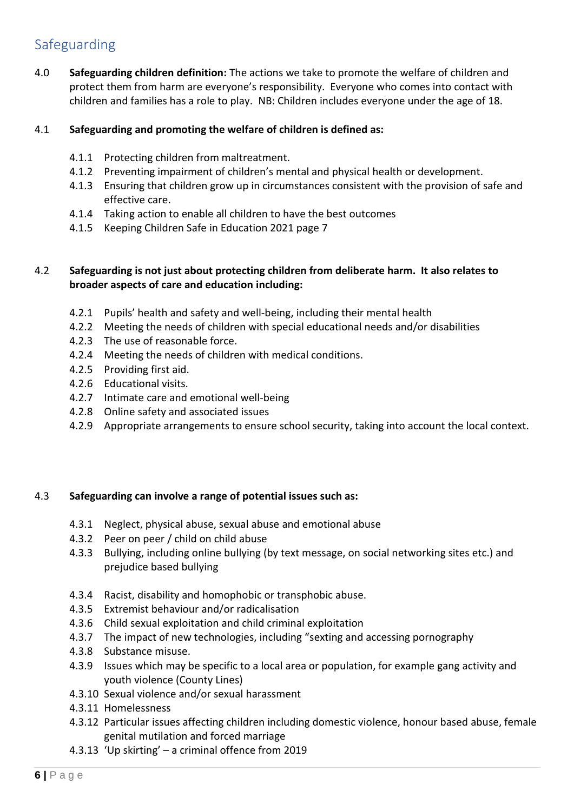## <span id="page-5-0"></span>Safeguarding

4.0 **Safeguarding children definition:** The actions we take to promote the welfare of children and protect them from harm are everyone's responsibility. Everyone who comes into contact with children and families has a role to play. NB: Children includes everyone under the age of 18.

#### 4.1 **Safeguarding and promoting the welfare of children is defined as:**

- 4.1.1 Protecting children from maltreatment.
- 4.1.2 Preventing impairment of children's mental and physical health or development.
- 4.1.3 Ensuring that children grow up in circumstances consistent with the provision of safe and effective care.
- 4.1.4 Taking action to enable all children to have the best outcomes
- 4.1.5 Keeping Children Safe in Education 2021 page 7

#### 4.2 **Safeguarding is not just about protecting children from deliberate harm. It also relates to broader aspects of care and education including:**

- 4.2.1 Pupils' health and safety and well-being, including their mental health
- 4.2.2 Meeting the needs of children with special educational needs and/or disabilities
- 4.2.3 The use of reasonable force.
- 4.2.4 Meeting the needs of children with medical conditions.
- 4.2.5 Providing first aid.
- 4.2.6 Educational visits.
- 4.2.7 Intimate care and emotional well-being
- 4.2.8 Online safety and associated issues
- 4.2.9 Appropriate arrangements to ensure school security, taking into account the local context.

#### 4.3 **Safeguarding can involve a range of potential issues such as:**

- 4.3.1 Neglect, physical abuse, sexual abuse and emotional abuse
- 4.3.2 Peer on peer / child on child abuse
- 4.3.3 Bullying, including online bullying (by text message, on social networking sites etc.) and prejudice based bullying
- 4.3.4 Racist, disability and homophobic or transphobic abuse.
- 4.3.5 Extremist behaviour and/or radicalisation
- 4.3.6 Child sexual exploitation and child criminal exploitation
- 4.3.7 The impact of new technologies, including "sexting and accessing pornography
- 4.3.8 Substance misuse.
- 4.3.9 Issues which may be specific to a local area or population, for example gang activity and youth violence (County Lines)
- 4.3.10 Sexual violence and/or sexual harassment
- 4.3.11 Homelessness
- 4.3.12 Particular issues affecting children including domestic violence, honour based abuse, female genital mutilation and forced marriage
- 4.3.13 'Up skirting' a criminal offence from 2019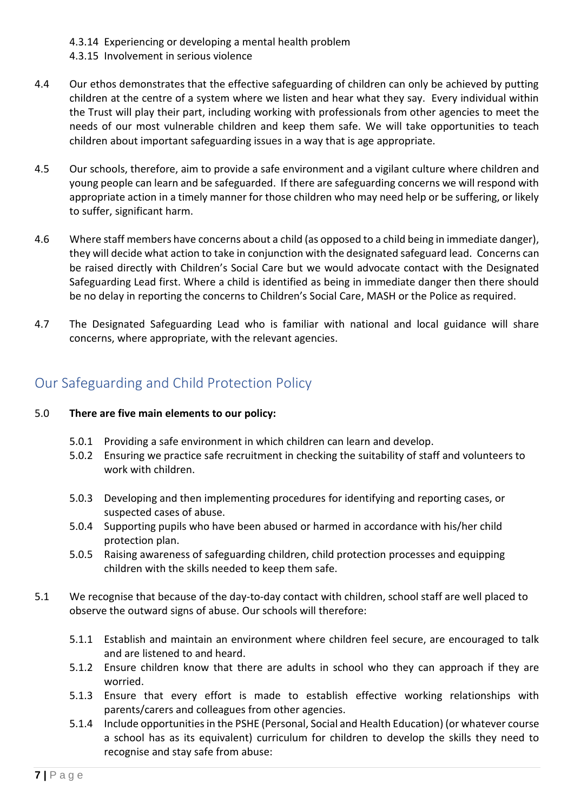- 4.3.14 Experiencing or developing a mental health problem
- 4.3.15 Involvement in serious violence
- 4.4 Our ethos demonstrates that the effective safeguarding of children can only be achieved by putting children at the centre of a system where we listen and hear what they say. Every individual within the Trust will play their part, including working with professionals from other agencies to meet the needs of our most vulnerable children and keep them safe. We will take opportunities to teach children about important safeguarding issues in a way that is age appropriate.
- 4.5 Our schools, therefore, aim to provide a safe environment and a vigilant culture where children and young people can learn and be safeguarded. If there are safeguarding concerns we will respond with appropriate action in a timely manner for those children who may need help or be suffering, or likely to suffer, significant harm.
- 4.6 Where staff members have concerns about a child (as opposed to a child being in immediate danger), they will decide what action to take in conjunction with the designated safeguard lead. Concerns can be raised directly with Children's Social Care but we would advocate contact with the Designated Safeguarding Lead first. Where a child is identified as being in immediate danger then there should be no delay in reporting the concerns to Children's Social Care, MASH or the Police as required.
- 4.7 The Designated Safeguarding Lead who is familiar with national and local guidance will share concerns, where appropriate, with the relevant agencies.

### <span id="page-6-0"></span>Our Safeguarding and Child Protection Policy

#### 5.0 **There are five main elements to our policy:**

- 5.0.1 Providing a safe environment in which children can learn and develop.
- 5.0.2 Ensuring we practice safe recruitment in checking the suitability of staff and volunteers to work with children.
- 5.0.3 Developing and then implementing procedures for identifying and reporting cases, or suspected cases of abuse.
- 5.0.4 Supporting pupils who have been abused or harmed in accordance with his/her child protection plan.
- 5.0.5 Raising awareness of safeguarding children, child protection processes and equipping children with the skills needed to keep them safe.
- 5.1 We recognise that because of the day-to-day contact with children, school staff are well placed to observe the outward signs of abuse. Our schools will therefore:
	- 5.1.1 Establish and maintain an environment where children feel secure, are encouraged to talk and are listened to and heard.
	- 5.1.2 Ensure children know that there are adults in school who they can approach if they are worried.
	- 5.1.3 Ensure that every effort is made to establish effective working relationships with parents/carers and colleagues from other agencies.
	- 5.1.4 Include opportunities in the PSHE (Personal, Social and Health Education) (or whatever course a school has as its equivalent) curriculum for children to develop the skills they need to recognise and stay safe from abuse: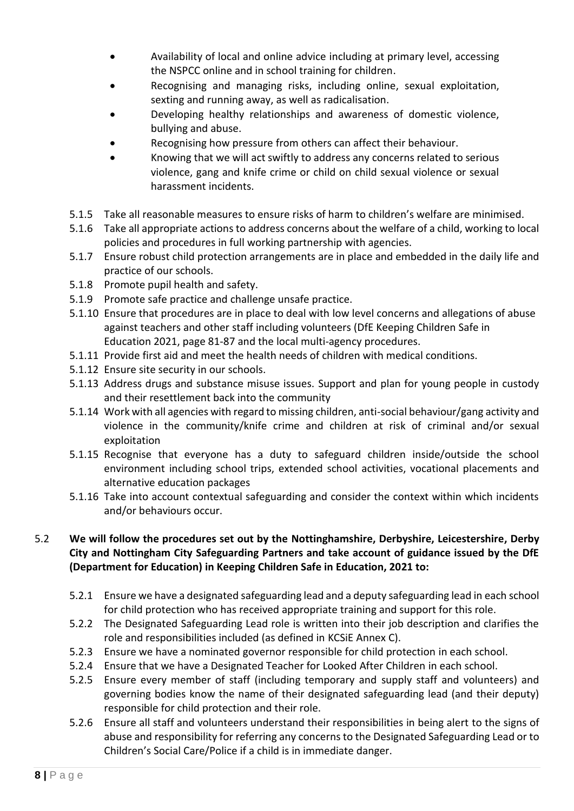- Availability of local and online advice including at primary level, accessing the NSPCC online and in school training for children.
- Recognising and managing risks, including online, sexual exploitation, sexting and running away, as well as radicalisation.
- Developing healthy relationships and awareness of domestic violence, bullying and abuse.
- Recognising how pressure from others can affect their behaviour.
- Knowing that we will act swiftly to address any concerns related to serious violence, gang and knife crime or child on child sexual violence or sexual harassment incidents.
- 5.1.5 Take all reasonable measures to ensure risks of harm to children's welfare are minimised.
- 5.1.6 Take all appropriate actions to address concerns about the welfare of a child, working to local policies and procedures in full working partnership with agencies.
- 5.1.7 Ensure robust child protection arrangements are in place and embedded in the daily life and practice of our schools.
- 5.1.8 Promote pupil health and safety.
- 5.1.9 Promote safe practice and challenge unsafe practice.
- 5.1.10 Ensure that procedures are in place to deal with low level concerns and allegations of abuse against teachers and other staff including volunteers (DfE Keeping Children Safe in Education 2021, page 81-87 and the local multi-agency procedures.
- 5.1.11 Provide first aid and meet the health needs of children with medical conditions.
- 5.1.12 Ensure site security in our schools.
- 5.1.13 Address drugs and substance misuse issues. Support and plan for young people in custody and their resettlement back into the community
- 5.1.14 Work with all agencies with regard to missing children, anti-social behaviour/gang activity and violence in the community/knife crime and children at risk of criminal and/or sexual exploitation
- 5.1.15 Recognise that everyone has a duty to safeguard children inside/outside the school environment including school trips, extended school activities, vocational placements and alternative education packages
- 5.1.16 Take into account contextual safeguarding and consider the context within which incidents and/or behaviours occur.

### 5.2 **We will follow the procedures set out by the Nottinghamshire, Derbyshire, Leicestershire, Derby City and Nottingham City Safeguarding Partners and take account of guidance issued by the DfE (Department for Education) in Keeping Children Safe in Education, 2021 to:**

- 5.2.1 Ensure we have a designated safeguarding lead and a deputy safeguarding lead in each school for child protection who has received appropriate training and support for this role.
- 5.2.2 The Designated Safeguarding Lead role is written into their job description and clarifies the role and responsibilities included (as defined in KCSiE Annex C).
- 5.2.3 Ensure we have a nominated governor responsible for child protection in each school.
- 5.2.4 Ensure that we have a Designated Teacher for Looked After Children in each school.
- 5.2.5 Ensure every member of staff (including temporary and supply staff and volunteers) and governing bodies know the name of their designated safeguarding lead (and their deputy) responsible for child protection and their role.
- 5.2.6 Ensure all staff and volunteers understand their responsibilities in being alert to the signs of abuse and responsibility for referring any concerns to the Designated Safeguarding Lead or to Children's Social Care/Police if a child is in immediate danger.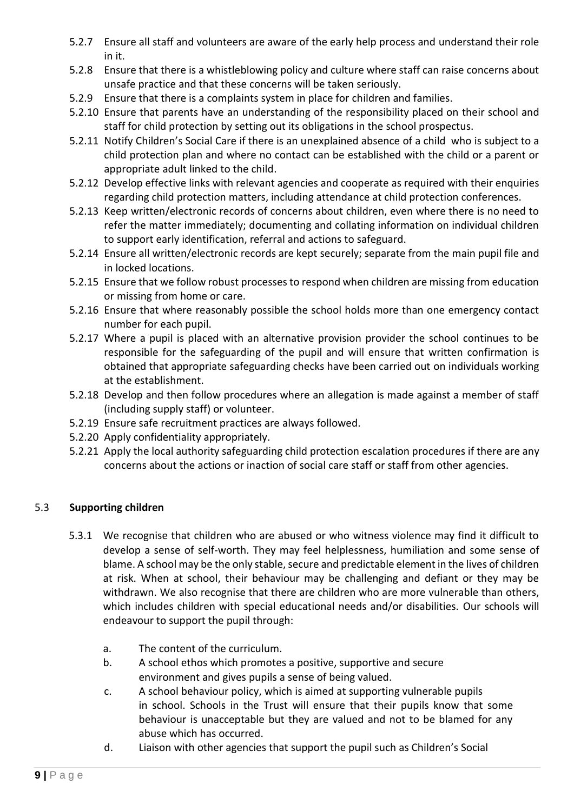- 5.2.7 Ensure all staff and volunteers are aware of the early help process and understand their role in it.
- 5.2.8 Ensure that there is a whistleblowing policy and culture where staff can raise concerns about unsafe practice and that these concerns will be taken seriously.
- 5.2.9 Ensure that there is a complaints system in place for children and families.
- 5.2.10 Ensure that parents have an understanding of the responsibility placed on their school and staff for child protection by setting out its obligations in the school prospectus.
- 5.2.11 Notify Children's Social Care if there is an unexplained absence of a child who is subject to a child protection plan and where no contact can be established with the child or a parent or appropriate adult linked to the child.
- 5.2.12 Develop effective links with relevant agencies and cooperate as required with their enquiries regarding child protection matters, including attendance at child protection conferences.
- 5.2.13 Keep written/electronic records of concerns about children, even where there is no need to refer the matter immediately; documenting and collating information on individual children to support early identification, referral and actions to safeguard.
- 5.2.14 Ensure all written/electronic records are kept securely; separate from the main pupil file and in locked locations.
- 5.2.15 Ensure that we follow robust processes to respond when children are missing from education or missing from home or care.
- 5.2.16 Ensure that where reasonably possible the school holds more than one emergency contact number for each pupil.
- 5.2.17 Where a pupil is placed with an alternative provision provider the school continues to be responsible for the safeguarding of the pupil and will ensure that written confirmation is obtained that appropriate safeguarding checks have been carried out on individuals working at the establishment.
- 5.2.18 Develop and then follow procedures where an allegation is made against a member of staff (including supply staff) or volunteer.
- 5.2.19 Ensure safe recruitment practices are always followed.
- 5.2.20 Apply confidentiality appropriately.
- 5.2.21 Apply the local authority safeguarding child protection escalation procedures if there are any concerns about the actions or inaction of social care staff or staff from other agencies.

#### 5.3 **Supporting children**

- 5.3.1 We recognise that children who are abused or who witness violence may find it difficult to develop a sense of self-worth. They may feel helplessness, humiliation and some sense of blame. A school may be the only stable, secure and predictable element in the lives of children at risk. When at school, their behaviour may be challenging and defiant or they may be withdrawn. We also recognise that there are children who are more vulnerable than others, which includes children with special educational needs and/or disabilities. Our schools will endeavour to support the pupil through:
	- a. The content of the curriculum.
	- b. A school ethos which promotes a positive, supportive and secure environment and gives pupils a sense of being valued.
	- c. A school behaviour policy, which is aimed at supporting vulnerable pupils in school. Schools in the Trust will ensure that their pupils know that some behaviour is unacceptable but they are valued and not to be blamed for any abuse which has occurred.
	- d. Liaison with other agencies that support the pupil such as Children's Social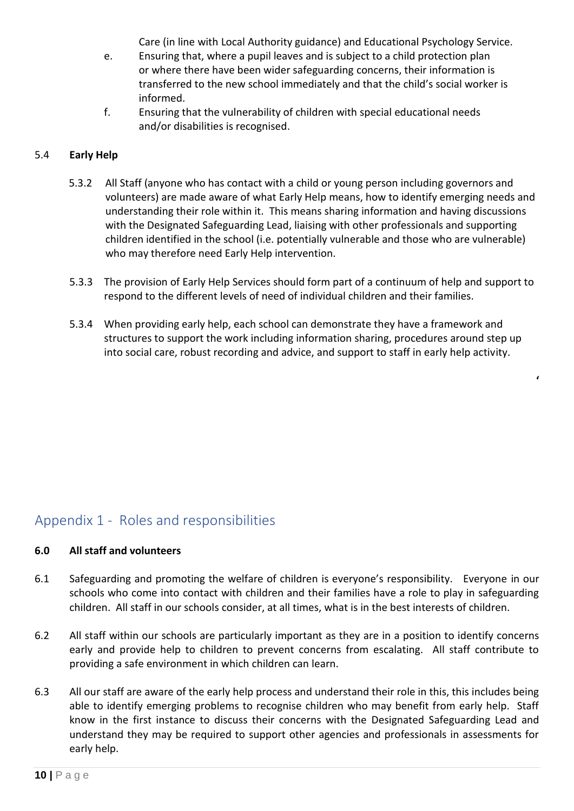Care (in line with Local Authority guidance) and Educational Psychology Service.

- e. Ensuring that, where a pupil leaves and is subject to a child protection plan or where there have been wider safeguarding concerns, their information is transferred to the new school immediately and that the child's social worker is informed.
- f. Ensuring that the vulnerability of children with special educational needs and/or disabilities is recognised.

#### 5.4 **Early Help**

- 5.3.2 All Staff (anyone who has contact with a child or young person including governors and volunteers) are made aware of what Early Help means, how to identify emerging needs and understanding their role within it. This means sharing information and having discussions with the Designated Safeguarding Lead, liaising with other professionals and supporting children identified in the school (i.e. potentially vulnerable and those who are vulnerable) who may therefore need Early Help intervention.
- 5.3.3 The provision of Early Help Services should form part of a continuum of help and support to respond to the different levels of need of individual children and their families.
- 5.3.4 When providing early help, each school can demonstrate they have a framework and structures to support the work including information sharing, procedures around step up into social care, robust recording and advice, and support to staff in early help activity.

**'**

### <span id="page-9-0"></span>Appendix 1 - Roles and responsibilities

#### **6.0 All staff and volunteers**

- 6.1 Safeguarding and promoting the welfare of children is everyone's responsibility. Everyone in our schools who come into contact with children and their families have a role to play in safeguarding children. All staff in our schools consider, at all times, what is in the best interests of children.
- 6.2 All staff within our schools are particularly important as they are in a position to identify concerns early and provide help to children to prevent concerns from escalating. All staff contribute to providing a safe environment in which children can learn.
- 6.3 All our staff are aware of the early help process and understand their role in this, this includes being able to identify emerging problems to recognise children who may benefit from early help. Staff know in the first instance to discuss their concerns with the Designated Safeguarding Lead and understand they may be required to support other agencies and professionals in assessments for early help.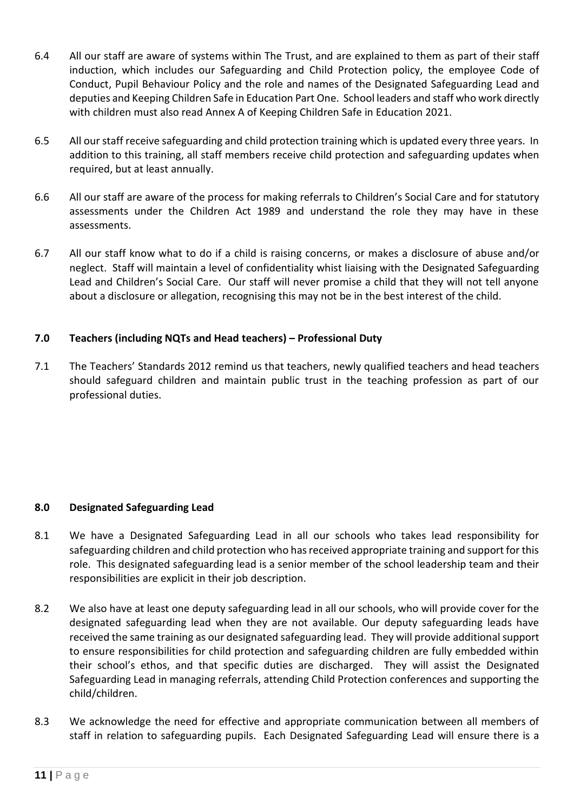- 6.4 All our staff are aware of systems within The Trust, and are explained to them as part of their staff induction, which includes our Safeguarding and Child Protection policy, the employee Code of Conduct, Pupil Behaviour Policy and the role and names of the Designated Safeguarding Lead and deputies and Keeping Children Safe in Education Part One. School leaders and staff who work directly with children must also read Annex A of Keeping Children Safe in Education 2021.
- 6.5 All our staff receive safeguarding and child protection training which is updated every three years. In addition to this training, all staff members receive child protection and safeguarding updates when required, but at least annually.
- 6.6 All our staff are aware of the process for making referrals to Children's Social Care and for statutory assessments under the Children Act 1989 and understand the role they may have in these assessments.
- 6.7 All our staff know what to do if a child is raising concerns, or makes a disclosure of abuse and/or neglect. Staff will maintain a level of confidentiality whist liaising with the Designated Safeguarding Lead and Children's Social Care. Our staff will never promise a child that they will not tell anyone about a disclosure or allegation, recognising this may not be in the best interest of the child.

#### **7.0 Teachers (including NQTs and Head teachers) – Professional Duty**

7.1 The Teachers' Standards 2012 remind us that teachers, newly qualified teachers and head teachers should safeguard children and maintain public trust in the teaching profession as part of our professional duties.

#### **8.0 Designated Safeguarding Lead**

- 8.1 We have a Designated Safeguarding Lead in all our schools who takes lead responsibility for safeguarding children and child protection who has received appropriate training and support for this role. This designated safeguarding lead is a senior member of the school leadership team and their responsibilities are explicit in their job description.
- 8.2 We also have at least one deputy safeguarding lead in all our schools, who will provide cover for the designated safeguarding lead when they are not available. Our deputy safeguarding leads have received the same training as our designated safeguarding lead. They will provide additional support to ensure responsibilities for child protection and safeguarding children are fully embedded within their school's ethos, and that specific duties are discharged. They will assist the Designated Safeguarding Lead in managing referrals, attending Child Protection conferences and supporting the child/children.
- 8.3 We acknowledge the need for effective and appropriate communication between all members of staff in relation to safeguarding pupils. Each Designated Safeguarding Lead will ensure there is a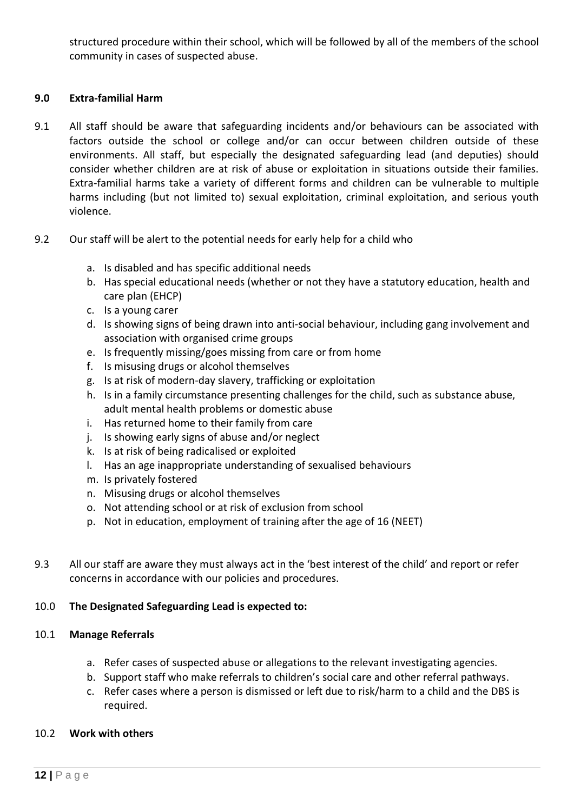structured procedure within their school, which will be followed by all of the members of the school community in cases of suspected abuse.

#### **9.0 Extra-familial Harm**

- 9.1 All staff should be aware that safeguarding incidents and/or behaviours can be associated with factors outside the school or college and/or can occur between children outside of these environments. All staff, but especially the designated safeguarding lead (and deputies) should consider whether children are at risk of abuse or exploitation in situations outside their families. Extra-familial harms take a variety of different forms and children can be vulnerable to multiple harms including (but not limited to) sexual exploitation, criminal exploitation, and serious youth violence.
- 9.2 Our staff will be alert to the potential needs for early help for a child who
	- a. Is disabled and has specific additional needs
	- b. Has special educational needs (whether or not they have a statutory education, health and care plan (EHCP)
	- c. Is a young carer
	- d. Is showing signs of being drawn into anti-social behaviour, including gang involvement and association with organised crime groups
	- e. Is frequently missing/goes missing from care or from home
	- f. Is misusing drugs or alcohol themselves
	- g. Is at risk of modern-day slavery, trafficking or exploitation
	- h. Is in a family circumstance presenting challenges for the child, such as substance abuse, adult mental health problems or domestic abuse
	- i. Has returned home to their family from care
	- j. Is showing early signs of abuse and/or neglect
	- k. Is at risk of being radicalised or exploited
	- l. Has an age inappropriate understanding of sexualised behaviours
	- m. Is privately fostered
	- n. Misusing drugs or alcohol themselves
	- o. Not attending school or at risk of exclusion from school
	- p. Not in education, employment of training after the age of 16 (NEET)
- 9.3 All our staff are aware they must always act in the 'best interest of the child' and report or refer concerns in accordance with our policies and procedures.

#### 10.0 **The Designated Safeguarding Lead is expected to:**

#### 10.1 **Manage Referrals**

- a. Refer cases of suspected abuse or allegations to the relevant investigating agencies.
- b. Support staff who make referrals to children's social care and other referral pathways.
- c. Refer cases where a person is dismissed or left due to risk/harm to a child and the DBS is required.

#### 10.2 **Work with others**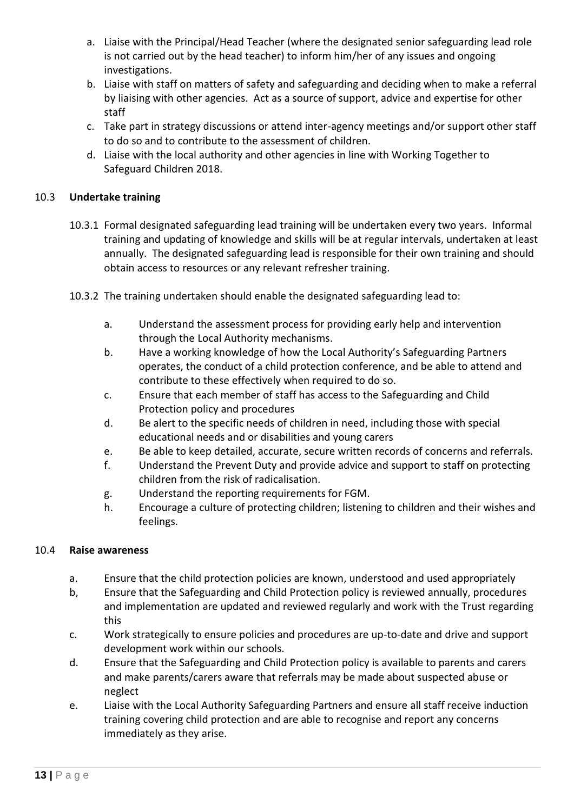- a. Liaise with the Principal/Head Teacher (where the designated senior safeguarding lead role is not carried out by the head teacher) to inform him/her of any issues and ongoing investigations.
- b. Liaise with staff on matters of safety and safeguarding and deciding when to make a referral by liaising with other agencies. Act as a source of support, advice and expertise for other staff
- c. Take part in strategy discussions or attend inter-agency meetings and/or support other staff to do so and to contribute to the assessment of children.
- d. Liaise with the local authority and other agencies in line with Working Together to Safeguard Children 2018.

#### 10.3 **Undertake training**

- 10.3.1 Formal designated safeguarding lead training will be undertaken every two years. Informal training and updating of knowledge and skills will be at regular intervals, undertaken at least annually. The designated safeguarding lead is responsible for their own training and should obtain access to resources or any relevant refresher training.
- 10.3.2 The training undertaken should enable the designated safeguarding lead to:
	- a. Understand the assessment process for providing early help and intervention through the Local Authority mechanisms.
	- b. Have a working knowledge of how the Local Authority's Safeguarding Partners operates, the conduct of a child protection conference, and be able to attend and contribute to these effectively when required to do so.
	- c. Ensure that each member of staff has access to the Safeguarding and Child Protection policy and procedures
	- d. Be alert to the specific needs of children in need, including those with special educational needs and or disabilities and young carers
	- e. Be able to keep detailed, accurate, secure written records of concerns and referrals.
	- f. Understand the Prevent Duty and provide advice and support to staff on protecting children from the risk of radicalisation.
	- g. Understand the reporting requirements for FGM.
	- h. Encourage a culture of protecting children; listening to children and their wishes and feelings.

#### 10.4 **Raise awareness**

- a. Ensure that the child protection policies are known, understood and used appropriately
- b, Ensure that the Safeguarding and Child Protection policy is reviewed annually, procedures and implementation are updated and reviewed regularly and work with the Trust regarding this
- c. Work strategically to ensure policies and procedures are up-to-date and drive and support development work within our schools.
- d. Ensure that the Safeguarding and Child Protection policy is available to parents and carers and make parents/carers aware that referrals may be made about suspected abuse or neglect
- e. Liaise with the Local Authority Safeguarding Partners and ensure all staff receive induction training covering child protection and are able to recognise and report any concerns immediately as they arise.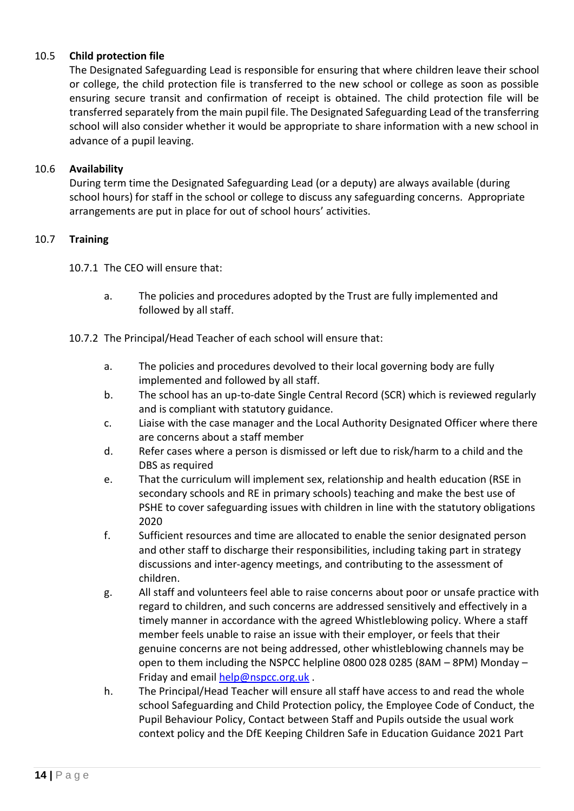#### 10.5 **Child protection file**

The Designated Safeguarding Lead is responsible for ensuring that where children leave their school or college, the child protection file is transferred to the new school or college as soon as possible ensuring secure transit and confirmation of receipt is obtained. The child protection file will be transferred separately from the main pupil file. The Designated Safeguarding Lead of the transferring school will also consider whether it would be appropriate to share information with a new school in advance of a pupil leaving.

#### 10.6 **Availability**

During term time the Designated Safeguarding Lead (or a deputy) are always available (during school hours) for staff in the school or college to discuss any safeguarding concerns. Appropriate arrangements are put in place for out of school hours' activities.

#### 10.7 **Training**

10.7.1 The CEO will ensure that:

- a. The policies and procedures adopted by the Trust are fully implemented and followed by all staff.
- 10.7.2 The Principal/Head Teacher of each school will ensure that:
	- a. The policies and procedures devolved to their local governing body are fully implemented and followed by all staff.
	- b. The school has an up-to-date Single Central Record (SCR) which is reviewed regularly and is compliant with statutory guidance.
	- c. Liaise with the case manager and the Local Authority Designated Officer where there are concerns about a staff member
	- d. Refer cases where a person is dismissed or left due to risk/harm to a child and the DBS as required
	- e. That the curriculum will implement sex, relationship and health education (RSE in secondary schools and RE in primary schools) teaching and make the best use of PSHE to cover safeguarding issues with children in line with the statutory obligations 2020
	- f. Sufficient resources and time are allocated to enable the senior designated person and other staff to discharge their responsibilities, including taking part in strategy discussions and inter-agency meetings, and contributing to the assessment of children.
	- g. All staff and volunteers feel able to raise concerns about poor or unsafe practice with regard to children, and such concerns are addressed sensitively and effectively in a timely manner in accordance with the agreed Whistleblowing policy. Where a staff member feels unable to raise an issue with their employer, or feels that their genuine concerns are not being addressed, other whistleblowing channels may be open to them including the NSPCC helpline 0800 028 0285 (8AM – 8PM) Monday – Friday and email [help@nspcc.org.uk](mailto:help@nspcc.org.uk) .
	- h. The Principal/Head Teacher will ensure all staff have access to and read the whole school Safeguarding and Child Protection policy, the Employee Code of Conduct, the Pupil Behaviour Policy, Contact between Staff and Pupils outside the usual work context policy and the DfE Keeping Children Safe in Education Guidance 2021 Part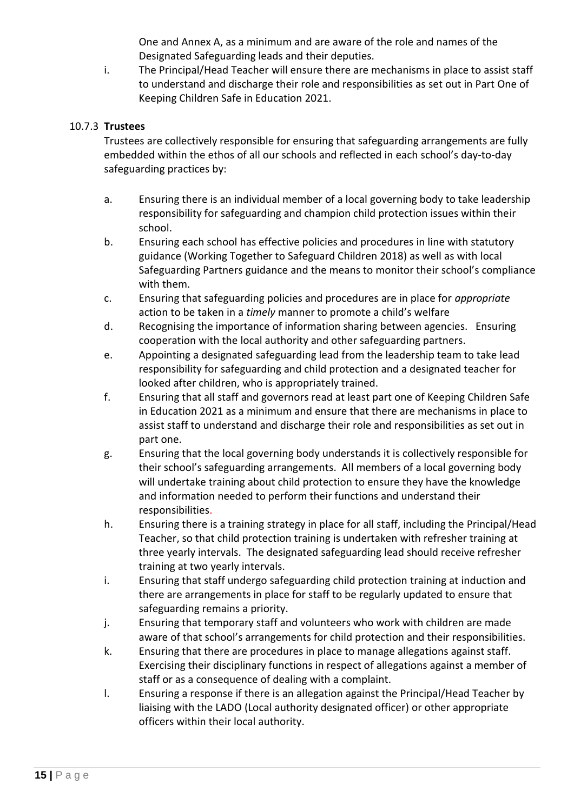One and Annex A, as a minimum and are aware of the role and names of the Designated Safeguarding leads and their deputies.

i. The Principal/Head Teacher will ensure there are mechanisms in place to assist staff to understand and discharge their role and responsibilities as set out in Part One of Keeping Children Safe in Education 2021.

#### 10.7.3 **Trustees**

Trustees are collectively responsible for ensuring that safeguarding arrangements are fully embedded within the ethos of all our schools and reflected in each school's day-to-day safeguarding practices by:

- a. Ensuring there is an individual member of a local governing body to take leadership responsibility for safeguarding and champion child protection issues within their school.
- b. Ensuring each school has effective policies and procedures in line with statutory guidance (Working Together to Safeguard Children 2018) as well as with local Safeguarding Partners guidance and the means to monitor their school's compliance with them.
- c. Ensuring that safeguarding policies and procedures are in place for *appropriate* action to be taken in a *timely* manner to promote a child's welfare
- d. Recognising the importance of information sharing between agencies. Ensuring cooperation with the local authority and other safeguarding partners.
- e. Appointing a designated safeguarding lead from the leadership team to take lead responsibility for safeguarding and child protection and a designated teacher for looked after children, who is appropriately trained.
- f. Ensuring that all staff and governors read at least part one of Keeping Children Safe in Education 2021 as a minimum and ensure that there are mechanisms in place to assist staff to understand and discharge their role and responsibilities as set out in part one.
- g. Ensuring that the local governing body understands it is collectively responsible for their school's safeguarding arrangements. All members of a local governing body will undertake training about child protection to ensure they have the knowledge and information needed to perform their functions and understand their responsibilities.
- h. Ensuring there is a training strategy in place for all staff, including the Principal/Head Teacher, so that child protection training is undertaken with refresher training at three yearly intervals. The designated safeguarding lead should receive refresher training at two yearly intervals.
- i. Ensuring that staff undergo safeguarding child protection training at induction and there are arrangements in place for staff to be regularly updated to ensure that safeguarding remains a priority.
- j. Ensuring that temporary staff and volunteers who work with children are made aware of that school's arrangements for child protection and their responsibilities.
- k. Ensuring that there are procedures in place to manage allegations against staff. Exercising their disciplinary functions in respect of allegations against a member of staff or as a consequence of dealing with a complaint.
- l. Ensuring a response if there is an allegation against the Principal/Head Teacher by liaising with the LADO (Local authority designated officer) or other appropriate officers within their local authority.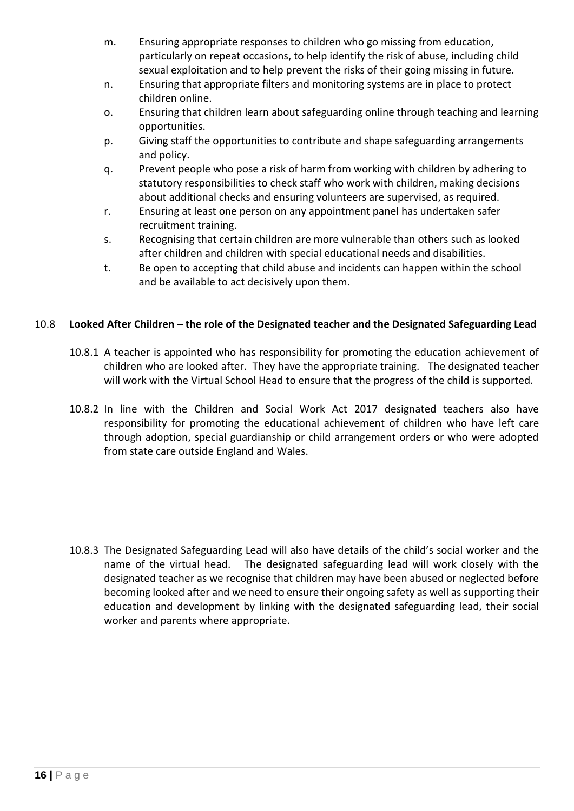- m. Ensuring appropriate responses to children who go missing from education, particularly on repeat occasions, to help identify the risk of abuse, including child sexual exploitation and to help prevent the risks of their going missing in future.
- n. Ensuring that appropriate filters and monitoring systems are in place to protect children online.
- o. Ensuring that children learn about safeguarding online through teaching and learning opportunities.
- p. Giving staff the opportunities to contribute and shape safeguarding arrangements and policy.
- q. Prevent people who pose a risk of harm from working with children by adhering to statutory responsibilities to check staff who work with children, making decisions about additional checks and ensuring volunteers are supervised, as required.
- r. Ensuring at least one person on any appointment panel has undertaken safer recruitment training.
- s. Recognising that certain children are more vulnerable than others such as looked after children and children with special educational needs and disabilities.
- t. Be open to accepting that child abuse and incidents can happen within the school and be available to act decisively upon them.

### 10.8 **Looked After Children – the role of the Designated teacher and the Designated Safeguarding Lead**

- 10.8.1 A teacher is appointed who has responsibility for promoting the education achievement of children who are looked after. They have the appropriate training. The designated teacher will work with the Virtual School Head to ensure that the progress of the child is supported.
- 10.8.2 In line with the Children and Social Work Act 2017 designated teachers also have responsibility for promoting the educational achievement of children who have left care through adoption, special guardianship or child arrangement orders or who were adopted from state care outside England and Wales.

10.8.3 The Designated Safeguarding Lead will also have details of the child's social worker and the name of the virtual head. The designated safeguarding lead will work closely with the designated teacher as we recognise that children may have been abused or neglected before becoming looked after and we need to ensure their ongoing safety as well as supporting their education and development by linking with the designated safeguarding lead, their social worker and parents where appropriate.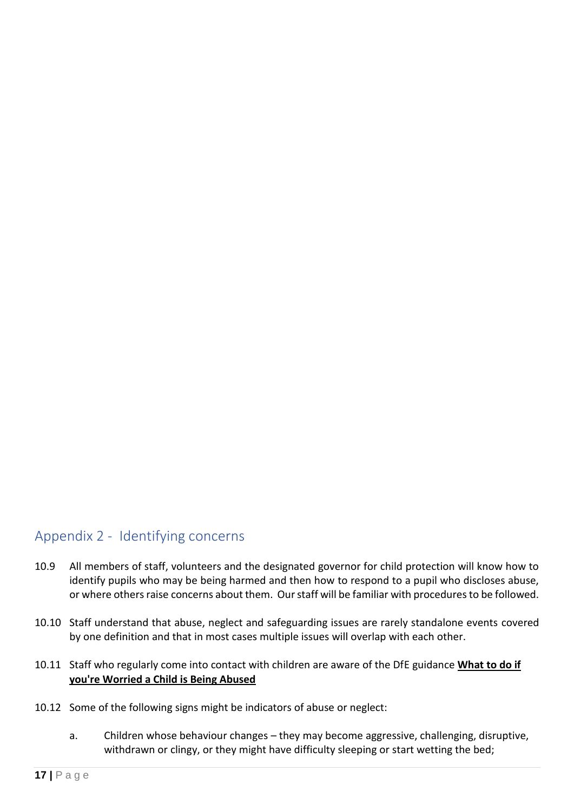### <span id="page-16-0"></span>Appendix 2 - Identifying concerns

- 10.9 All members of staff, volunteers and the designated governor for child protection will know how to identify pupils who may be being harmed and then how to respond to a pupil who discloses abuse, or where others raise concerns about them. Our staff will be familiar with procedures to be followed.
- 10.10 Staff understand that abuse, neglect and safeguarding issues are rarely standalone events covered by one definition and that in most cases multiple issues will overlap with each other.
- 10.11 Staff who regularly come into contact with children are aware of the DfE guidance **[What to do if](https://www.gov.uk/government/uploads/system/uploads/attachment_data/file/419604/What_to_do_if_you_re_worried_a_child_is_being_abused.pdf)  [you're Worried a Child is Being Abused](https://www.gov.uk/government/uploads/system/uploads/attachment_data/file/419604/What_to_do_if_you_re_worried_a_child_is_being_abused.pdf)**
- 10.12 Some of the following signs might be indicators of abuse or neglect:
	- a. Children whose behaviour changes they may become aggressive, challenging, disruptive, withdrawn or clingy, or they might have difficulty sleeping or start wetting the bed;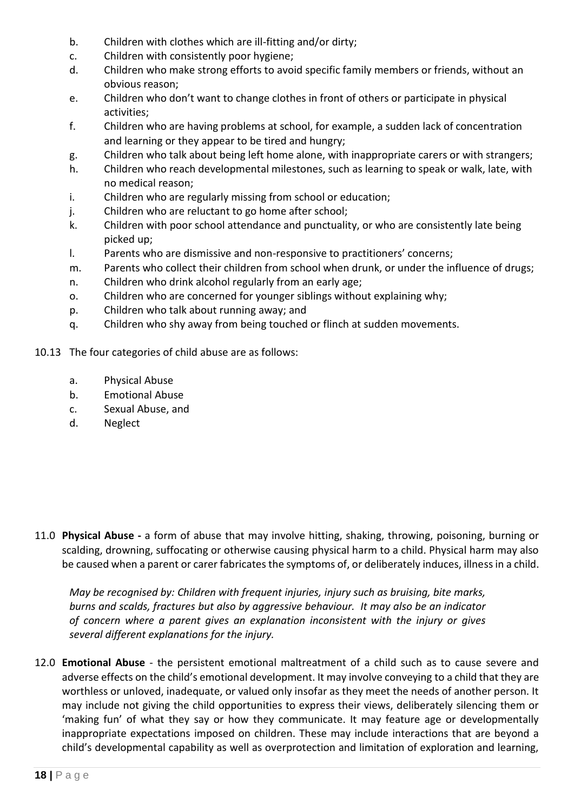- b. Children with clothes which are ill-fitting and/or dirty;
- c. Children with consistently poor hygiene;
- d. Children who make strong efforts to avoid specific family members or friends, without an obvious reason;
- e. Children who don't want to change clothes in front of others or participate in physical activities;
- f. Children who are having problems at school, for example, a sudden lack of concentration and learning or they appear to be tired and hungry;
- g. Children who talk about being left home alone, with inappropriate carers or with strangers;
- h. Children who reach developmental milestones, such as learning to speak or walk, late, with no medical reason;
- i. Children who are regularly missing from school or education;
- j. Children who are reluctant to go home after school;
- k. Children with poor school attendance and punctuality, or who are consistently late being picked up;
- l. Parents who are dismissive and non-responsive to practitioners' concerns;
- m. Parents who collect their children from school when drunk, or under the influence of drugs;
- n. Children who drink alcohol regularly from an early age;
- o. Children who are concerned for younger siblings without explaining why;
- p. Children who talk about running away; and
- q. Children who shy away from being touched or flinch at sudden movements.
- 10.13 The four categories of child abuse are as follows:
	- a. Physical Abuse
	- b. Emotional Abuse
	- c. Sexual Abuse, and
	- d. Neglect

11.0 **Physical Abuse -** a form of abuse that may involve hitting, shaking, throwing, poisoning, burning or scalding, drowning, suffocating or otherwise causing physical harm to a child. Physical harm may also be caused when a parent or carer fabricates the symptoms of, or deliberately induces, illness in a child.

*May be recognised by: Children with frequent injuries, injury such as bruising, bite marks, burns and scalds, fractures but also by aggressive behaviour. It may also be an indicator of concern where a parent gives an explanation inconsistent with the injury or gives several different explanations for the injury.*

12.0 **Emotional Abuse** - the persistent emotional maltreatment of a child such as to cause severe and adverse effects on the child's emotional development. It may involve conveying to a child that they are worthless or unloved, inadequate, or valued only insofar as they meet the needs of another person. It may include not giving the child opportunities to express their views, deliberately silencing them or 'making fun' of what they say or how they communicate. It may feature age or developmentally inappropriate expectations imposed on children. These may include interactions that are beyond a child's developmental capability as well as overprotection and limitation of exploration and learning,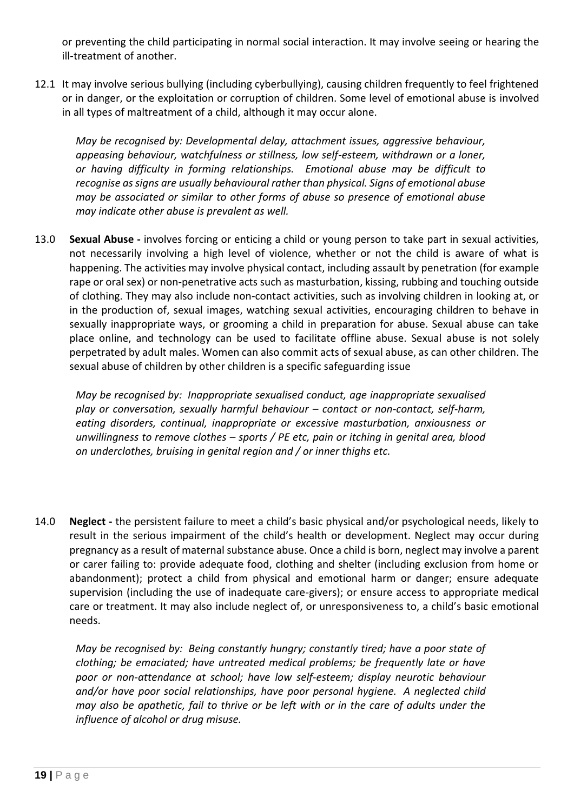or preventing the child participating in normal social interaction. It may involve seeing or hearing the ill-treatment of another.

12.1 It may involve serious bullying (including cyberbullying), causing children frequently to feel frightened or in danger, or the exploitation or corruption of children. Some level of emotional abuse is involved in all types of maltreatment of a child, although it may occur alone.

*May be recognised by: Developmental delay, attachment issues, aggressive behaviour, appeasing behaviour, watchfulness or stillness, low self-esteem, withdrawn or a loner, or having difficulty in forming relationships. Emotional abuse may be difficult to recognise as signs are usually behavioural rather than physical. Signs of emotional abuse may be associated or similar to other forms of abuse so presence of emotional abuse may indicate other abuse is prevalent as well.*

13.0 **Sexual Abuse -** involves forcing or enticing a child or young person to take part in sexual activities, not necessarily involving a high level of violence, whether or not the child is aware of what is happening. The activities may involve physical contact, including assault by penetration (for example rape or oral sex) or non-penetrative acts such as masturbation, kissing, rubbing and touching outside of clothing. They may also include non-contact activities, such as involving children in looking at, or in the production of, sexual images, watching sexual activities, encouraging children to behave in sexually inappropriate ways, or grooming a child in preparation for abuse. Sexual abuse can take place online, and technology can be used to facilitate offline abuse. Sexual abuse is not solely perpetrated by adult males. Women can also commit acts of sexual abuse, as can other children. The sexual abuse of children by other children is a specific safeguarding issue

*May be recognised by: Inappropriate sexualised conduct, age inappropriate sexualised play or conversation, sexually harmful behaviour – contact or non-contact, self-harm, eating disorders, continual, inappropriate or excessive masturbation, anxiousness or unwillingness to remove clothes – sports / PE etc, pain or itching in genital area, blood on underclothes, bruising in genital region and / or inner thighs etc.*

14.0 **Neglect -** the persistent failure to meet a child's basic physical and/or psychological needs, likely to result in the serious impairment of the child's health or development. Neglect may occur during pregnancy as a result of maternal substance abuse. Once a child is born, neglect may involve a parent or carer failing to: provide adequate food, clothing and shelter (including exclusion from home or abandonment); protect a child from physical and emotional harm or danger; ensure adequate supervision (including the use of inadequate care-givers); or ensure access to appropriate medical care or treatment. It may also include neglect of, or unresponsiveness to, a child's basic emotional needs.

*May be recognised by: Being constantly hungry; constantly tired; have a poor state of clothing; be emaciated; have untreated medical problems; be frequently late or have poor or non-attendance at school; have low self-esteem; display neurotic behaviour and/or have poor social relationships, have poor personal hygiene. A neglected child may also be apathetic, fail to thrive or be left with or in the care of adults under the influence of alcohol or drug misuse.*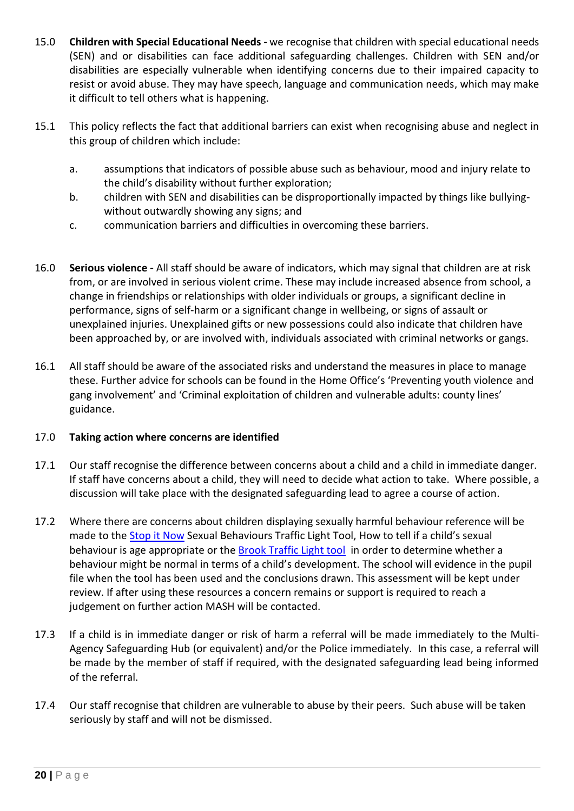- 15.0 **Children with Special Educational Needs -** we recognise that children with special educational needs (SEN) and or disabilities can face additional safeguarding challenges. Children with SEN and/or disabilities are especially vulnerable when identifying concerns due to their impaired capacity to resist or avoid abuse. They may have speech, language and communication needs, which may make it difficult to tell others what is happening.
- 15.1 This policy reflects the fact that additional barriers can exist when recognising abuse and neglect in this group of children which include:
	- a. assumptions that indicators of possible abuse such as behaviour, mood and injury relate to the child's disability without further exploration;
	- b. children with SEN and disabilities can be disproportionally impacted by things like bullyingwithout outwardly showing any signs; and
	- c. communication barriers and difficulties in overcoming these barriers.
- 16.0 **Serious violence -** All staff should be aware of indicators, which may signal that children are at risk from, or are involved in serious violent crime. These may include increased absence from school, a change in friendships or relationships with older individuals or groups, a significant decline in performance, signs of self-harm or a significant change in wellbeing, or signs of assault or unexplained injuries. Unexplained gifts or new possessions could also indicate that children have been approached by, or are involved with, individuals associated with criminal networks or gangs.
- 16.1 All staff should be aware of the associated risks and understand the measures in place to manage these. Further advice for schools can be found in the Home Office's 'Preventing youth violence and gang involvement' and 'Criminal exploitation of children and vulnerable adults: county lines' guidance.

#### 17.0 **Taking action where concerns are identified**

- 17.1 Our staff recognise the difference between concerns about a child and a child in immediate danger. If staff have concerns about a child, they will need to decide what action to take. Where possible, a discussion will take place with the designated safeguarding lead to agree a course of action.
- 17.2 Where there are concerns about children displaying sexually harmful behaviour reference will be made to the [Stop it Now](https://www.stopitnow.org.uk/concerned-about-a-child-or-young-persons-sexual-behaviour/how-to-tell-if-a-childs-sexual-behaviour-is-age-appropriate/) Sexual Behaviours Traffic Light Tool, How to tell if a child's sexual behaviour is age appropriate or the [Brook Traffic Light tool](https://schoolsnet.derbyshire.gov.uk/site-elements/documents/keeping-children-safe-in-education/emerging-school-safeguarding-themes/appendix-b-brook-traffic-light-tool.pdf) in order to determine whether a behaviour might be normal in terms of a child's development. The school will evidence in the pupil file when the tool has been used and the conclusions drawn. This assessment will be kept under review. If after using these resources a concern remains or support is required to reach a judgement on further action MASH will be contacted.
- 17.3 If a child is in immediate danger or risk of harm a referral will be made immediately to the Multi-Agency Safeguarding Hub (or equivalent) and/or the Police immediately. In this case, a referral will be made by the member of staff if required, with the designated safeguarding lead being informed of the referral.
- 17.4 Our staff recognise that children are vulnerable to abuse by their peers. Such abuse will be taken seriously by staff and will not be dismissed.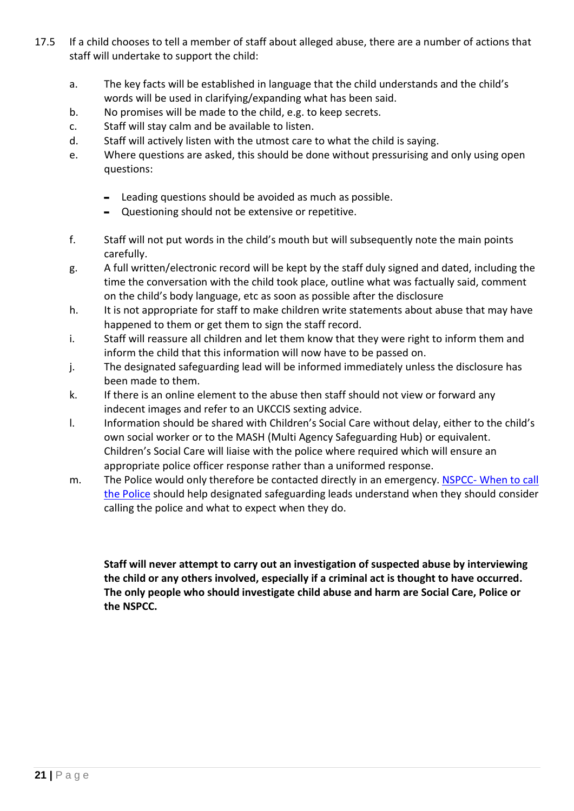- 17.5 If a child chooses to tell a member of staff about alleged abuse, there are a number of actions that staff will undertake to support the child:
	- a. The key facts will be established in language that the child understands and the child's words will be used in clarifying/expanding what has been said.
	- b. No promises will be made to the child, e.g. to keep secrets.
	- c. Staff will stay calm and be available to listen.
	- d. Staff will actively listen with the utmost care to what the child is saying.
	- e. Where questions are asked, this should be done without pressurising and only using open questions:
		- Leading questions should be avoided as much as possible.
		- Questioning should not be extensive or repetitive.
	- f. Staff will not put words in the child's mouth but will subsequently note the main points carefully.
	- g. A full written/electronic record will be kept by the staff duly signed and dated, including the time the conversation with the child took place, outline what was factually said, comment on the child's body language, etc as soon as possible after the disclosure
	- h. It is not appropriate for staff to make children write statements about abuse that may have happened to them or get them to sign the staff record.
	- i. Staff will reassure all children and let them know that they were right to inform them and inform the child that this information will now have to be passed on.
	- j. The designated safeguarding lead will be informed immediately unless the disclosure has been made to them.
	- k. If there is an online element to the abuse then staff should not view or forward any indecent images and refer to an UKCCIS sexting advice.
	- l. Information should be shared with Children's Social Care without delay, either to the child's own social worker or to the MASH (Multi Agency Safeguarding Hub) or equivalent. Children's Social Care will liaise with the police where required which will ensure an appropriate police officer response rather than a uniformed response.
	- m. The Police would only therefore be contacted directly in an emergency. NSPCC- When to call [the Police](https://www.npcc.police.uk/documents/Children%20and%20Young%20people/When%20to%20call%20the%20police%20guidance%20for%20schools%20and%20colleges.pdf) should help designated safeguarding leads understand when they should consider calling the police and what to expect when they do.

**Staff will never attempt to carry out an investigation of suspected abuse by interviewing the child or any others involved, especially if a criminal act is thought to have occurred. The only people who should investigate child abuse and harm are Social Care, Police or the NSPCC.**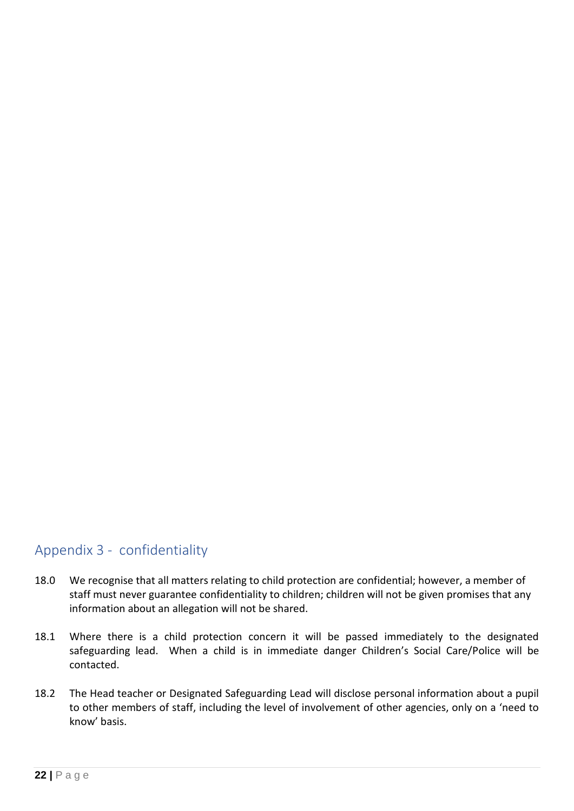### <span id="page-21-0"></span>Appendix 3 - confidentiality

- 18.0 We recognise that all matters relating to child protection are confidential; however, a member of staff must never guarantee confidentiality to children; children will not be given promises that any information about an allegation will not be shared.
- 18.1 Where there is a child protection concern it will be passed immediately to the designated safeguarding lead. When a child is in immediate danger Children's Social Care/Police will be contacted.
- 18.2 The Head teacher or Designated Safeguarding Lead will disclose personal information about a pupil to other members of staff, including the level of involvement of other agencies, only on a 'need to know' basis.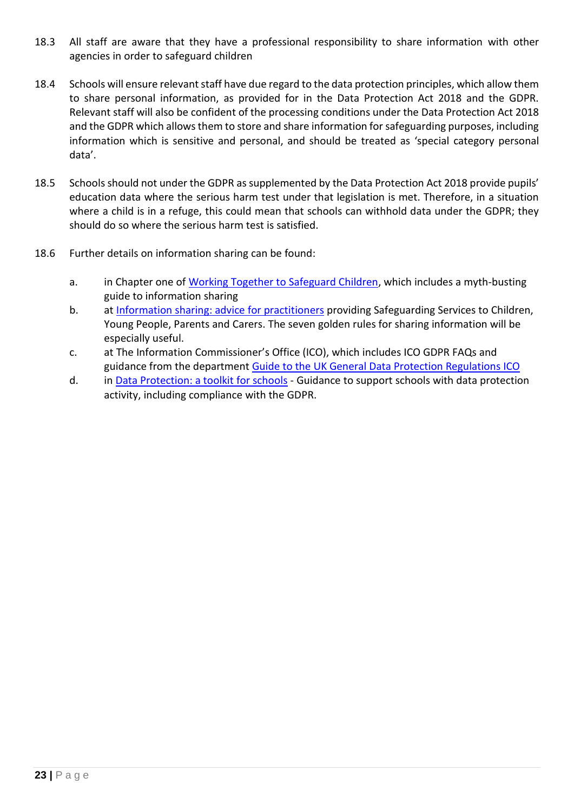- 18.3 All staff are aware that they have a professional responsibility to share information with other agencies in order to safeguard children
- 18.4 Schools will ensure relevant staff have due regard to the data protection principles, which allow them to share personal information, as provided for in the Data Protection Act 2018 and the GDPR. Relevant staff will also be confident of the processing conditions under the Data Protection Act 2018 and the GDPR which allows them to store and share information for safeguarding purposes, including information which is sensitive and personal, and should be treated as 'special category personal data'.
- 18.5 Schools should not under the GDPR as supplemented by the Data Protection Act 2018 provide pupils' education data where the serious harm test under that legislation is met. Therefore, in a situation where a child is in a refuge, this could mean that schools can withhold data under the GDPR; they should do so where the serious harm test is satisfied.
- 18.6 Further details on information sharing can be found:
	- a. in Chapter one of [Working Together to Safeguard Children,](https://assets.publishing.service.gov.uk/government/uploads/system/uploads/attachment_data/file/942454/Working_together_to_safeguard_children_inter_agency_guidance.pdf) which includes a myth-busting guide to information sharing
	- b. at [Information sharing: advice for practitioners](https://assets.publishing.service.gov.uk/government/uploads/system/uploads/attachment_data/file/721581/Information_sharing_advice_practitioners_safeguarding_services.pdf) providing Safeguarding Services to Children, Young People, Parents and Carers. The seven golden rules for sharing information will be especially useful.
	- c. at The Information Commissioner's Office (ICO), which includes ICO GDPR FAQs and guidance from the department [Guide to the UK General Data Protection Regulations ICO](https://ico.org.uk/for-organisations/guide-to-data-protection/guide-to-the-general-data-protection-regulation-gdpr/)
	- d. in [Data Protection: a toolkit for schools](https://assets.publishing.service.gov.uk/government/uploads/system/uploads/attachment_data/file/747620/Data_Protection_Toolkit_for_Schools_OpenBeta.pdf) Guidance to support schools with data protection activity, including compliance with the GDPR.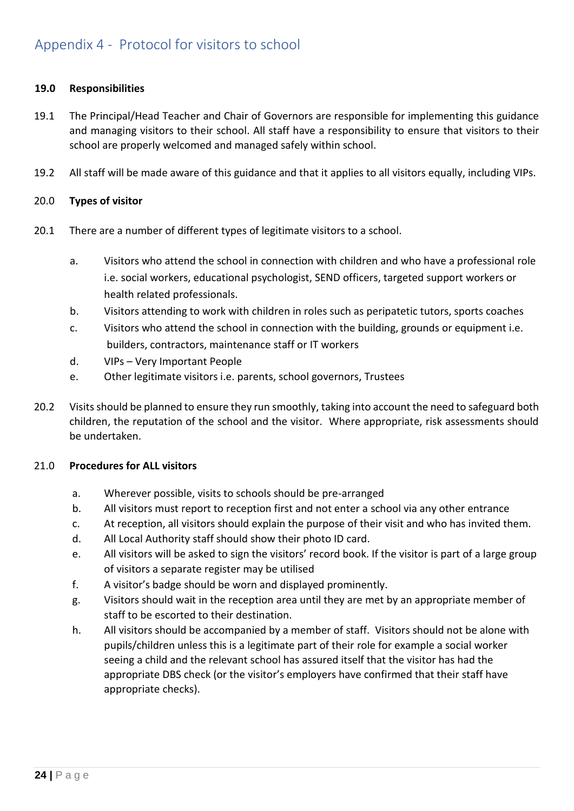#### <span id="page-23-0"></span>**19.0 Responsibilities**

- 19.1 The Principal/Head Teacher and Chair of Governors are responsible for implementing this guidance and managing visitors to their school. All staff have a responsibility to ensure that visitors to their school are properly welcomed and managed safely within school.
- 19.2 All staff will be made aware of this guidance and that it applies to all visitors equally, including VIPs.

#### 20.0 **Types of visitor**

- 20.1 There are a number of different types of legitimate visitors to a school.
	- a. Visitors who attend the school in connection with children and who have a professional role i.e. social workers, educational psychologist, SEND officers, targeted support workers or health related professionals.
	- b. Visitors attending to work with children in roles such as peripatetic tutors, sports coaches
	- c. Visitors who attend the school in connection with the building, grounds or equipment i.e. builders, contractors, maintenance staff or IT workers
	- d. VIPs Very Important People
	- e. Other legitimate visitors i.e. parents, school governors, Trustees
- 20.2 Visits should be planned to ensure they run smoothly, taking into account the need to safeguard both children, the reputation of the school and the visitor. Where appropriate, risk assessments should be undertaken.

#### 21.0 **Procedures for ALL visitors**

- a. Wherever possible, visits to schools should be pre-arranged
- b. All visitors must report to reception first and not enter a school via any other entrance
- c. At reception, all visitors should explain the purpose of their visit and who has invited them.
- d. All Local Authority staff should show their photo ID card.
- e. All visitors will be asked to sign the visitors' record book. If the visitor is part of a large group of visitors a separate register may be utilised
- f. A visitor's badge should be worn and displayed prominently.
- g. Visitors should wait in the reception area until they are met by an appropriate member of staff to be escorted to their destination.
- h. All visitors should be accompanied by a member of staff. Visitors should not be alone with pupils/children unless this is a legitimate part of their role for example a social worker seeing a child and the relevant school has assured itself that the visitor has had the appropriate DBS check (or the visitor's employers have confirmed that their staff have appropriate checks).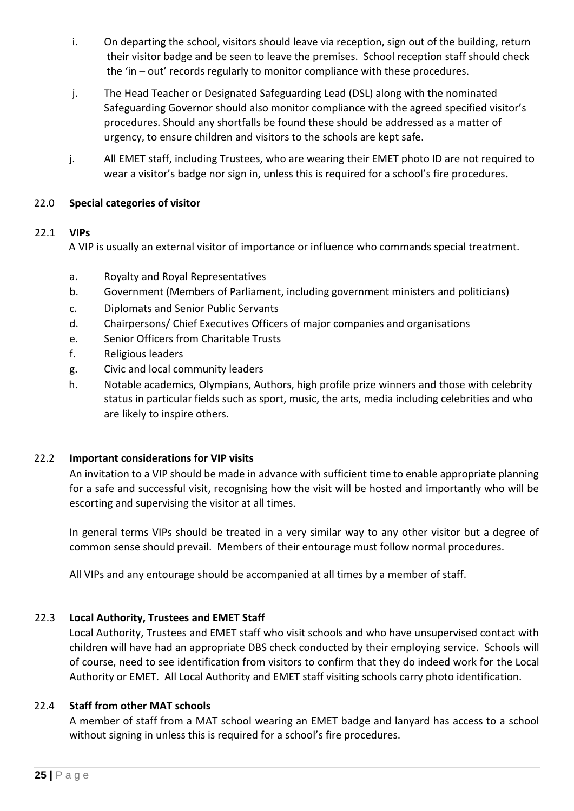- i. On departing the school, visitors should leave via reception, sign out of the building, return their visitor badge and be seen to leave the premises. School reception staff should check the 'in – out' records regularly to monitor compliance with these procedures.
- j. The Head Teacher or Designated Safeguarding Lead (DSL) along with the nominated Safeguarding Governor should also monitor compliance with the agreed specified visitor's procedures. Should any shortfalls be found these should be addressed as a matter of urgency, to ensure children and visitors to the schools are kept safe.
- j. All EMET staff, including Trustees, who are wearing their EMET photo ID are not required to wear a visitor's badge nor sign in, unless this is required for a school's fire procedures**.**

#### 22.0 **Special categories of visitor**

### 22.1 **VIPs**

A VIP is usually an external visitor of importance or influence who commands special treatment.

- a. Royalty and Royal Representatives
- b. Government (Members of Parliament, including government ministers and politicians)
- c. Diplomats and Senior Public Servants
- d. Chairpersons/ Chief Executives Officers of major companies and organisations
- e. Senior Officers from Charitable Trusts
- f. Religious leaders
- g. Civic and local community leaders
- h. Notable academics, Olympians, Authors, high profile prize winners and those with celebrity status in particular fields such as sport, music, the arts, media including celebrities and who are likely to inspire others.

#### 22.2 **Important considerations for VIP visits**

An invitation to a VIP should be made in advance with sufficient time to enable appropriate planning for a safe and successful visit, recognising how the visit will be hosted and importantly who will be escorting and supervising the visitor at all times.

In general terms VIPs should be treated in a very similar way to any other visitor but a degree of common sense should prevail. Members of their entourage must follow normal procedures.

All VIPs and any entourage should be accompanied at all times by a member of staff.

### 22.3 **Local Authority, Trustees and EMET Staff**

Local Authority, Trustees and EMET staff who visit schools and who have unsupervised contact with children will have had an appropriate DBS check conducted by their employing service. Schools will of course, need to see identification from visitors to confirm that they do indeed work for the Local Authority or EMET. All Local Authority and EMET staff visiting schools carry photo identification.

#### 22.4 **Staff from other MAT schools**

A member of staff from a MAT school wearing an EMET badge and lanyard has access to a school without signing in unless this is required for a school's fire procedures.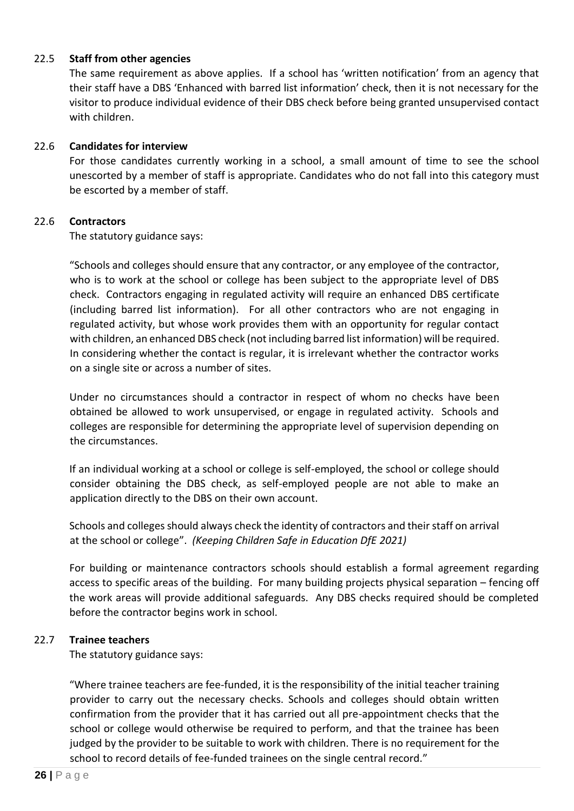#### 22.5 **Staff from other agencies**

The same requirement as above applies. If a school has 'written notification' from an agency that their staff have a DBS 'Enhanced with barred list information' check, then it is not necessary for the visitor to produce individual evidence of their DBS check before being granted unsupervised contact with children.

#### 22.6 **Candidates for interview**

For those candidates currently working in a school, a small amount of time to see the school unescorted by a member of staff is appropriate. Candidates who do not fall into this category must be escorted by a member of staff.

#### 22.6 **Contractors**

The statutory guidance says:

"Schools and colleges should ensure that any contractor, or any employee of the contractor, who is to work at the school or college has been subject to the appropriate level of DBS check. Contractors engaging in regulated activity will require an enhanced DBS certificate (including barred list information). For all other contractors who are not engaging in regulated activity, but whose work provides them with an opportunity for regular contact with children, an enhanced DBS check (not including barred list information) will be required. In considering whether the contact is regular, it is irrelevant whether the contractor works on a single site or across a number of sites.

Under no circumstances should a contractor in respect of whom no checks have been obtained be allowed to work unsupervised, or engage in regulated activity. Schools and colleges are responsible for determining the appropriate level of supervision depending on the circumstances.

If an individual working at a school or college is self-employed, the school or college should consider obtaining the DBS check, as self-employed people are not able to make an application directly to the DBS on their own account.

Schools and colleges should always check the identity of contractors and their staff on arrival at the school or college". *(Keeping Children Safe in Education DfE 2021)*

For building or maintenance contractors schools should establish a formal agreement regarding access to specific areas of the building. For many building projects physical separation – fencing off the work areas will provide additional safeguards. Any DBS checks required should be completed before the contractor begins work in school.

#### 22.7 **Trainee teachers**

The statutory guidance says:

"Where trainee teachers are fee-funded, it is the responsibility of the initial teacher training provider to carry out the necessary checks. Schools and colleges should obtain written confirmation from the provider that it has carried out all pre-appointment checks that the school or college would otherwise be required to perform, and that the trainee has been judged by the provider to be suitable to work with children. There is no requirement for the school to record details of fee-funded trainees on the single central record."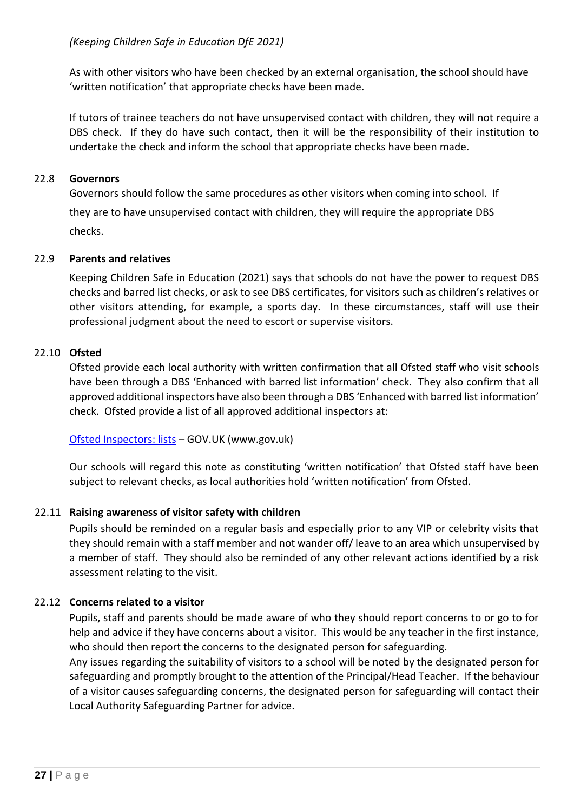As with other visitors who have been checked by an external organisation, the school should have 'written notification' that appropriate checks have been made.

If tutors of trainee teachers do not have unsupervised contact with children, they will not require a DBS check. If they do have such contact, then it will be the responsibility of their institution to undertake the check and inform the school that appropriate checks have been made.

#### 22.8 **Governors**

Governors should follow the same procedures as other visitors when coming into school. If they are to have unsupervised contact with children, they will require the appropriate DBS checks.

#### 22.9 **Parents and relatives**

Keeping Children Safe in Education (2021) says that schools do not have the power to request DBS checks and barred list checks, or ask to see DBS certificates, for visitors such as children's relatives or other visitors attending, for example, a sports day. In these circumstances, staff will use their professional judgment about the need to escort or supervise visitors.

### 22.10 **Ofsted**

Ofsted provide each local authority with written confirmation that all Ofsted staff who visit schools have been through a DBS 'Enhanced with barred list information' check. They also confirm that all approved additional inspectors have also been through a DBS 'Enhanced with barred list information' check. Ofsted provide a list of all approved additional inspectors at:

[Ofsted Inspectors: lists](https://www.gov.uk/government/publications/ofsted-inspectors-list) – GOV.UK (www.gov.uk)

Our schools will regard this note as constituting 'written notification' that Ofsted staff have been subject to relevant checks, as local authorities hold 'written notification' from Ofsted.

#### 22.11 **Raising awareness of visitor safety with children**

Pupils should be reminded on a regular basis and especially prior to any VIP or celebrity visits that they should remain with a staff member and not wander off/ leave to an area which unsupervised by a member of staff. They should also be reminded of any other relevant actions identified by a risk assessment relating to the visit.

#### 22.12 **Concerns related to a visitor**

Pupils, staff and parents should be made aware of who they should report concerns to or go to for help and advice if they have concerns about a visitor. This would be any teacher in the first instance, who should then report the concerns to the designated person for safeguarding.

Any issues regarding the suitability of visitors to a school will be noted by the designated person for safeguarding and promptly brought to the attention of the Principal/Head Teacher. If the behaviour of a visitor causes safeguarding concerns, the designated person for safeguarding will contact their Local Authority Safeguarding Partner for advice.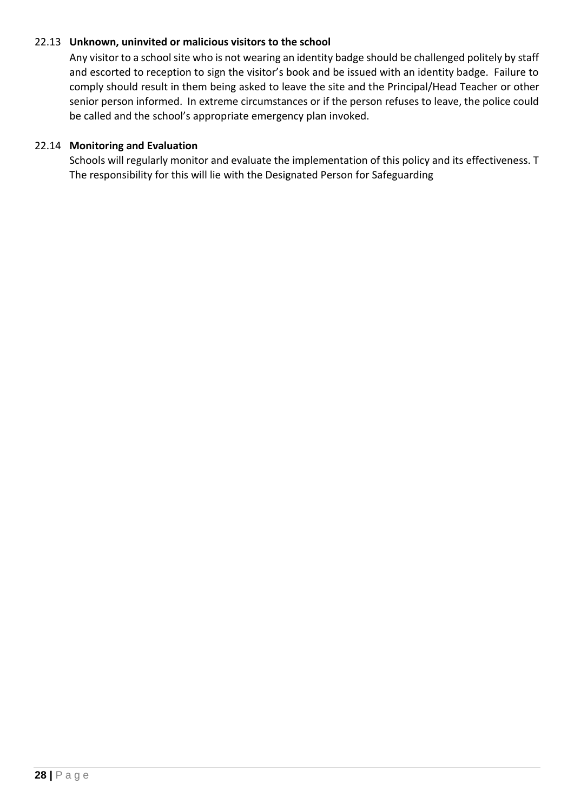#### 22.13 **Unknown, uninvited or malicious visitors to the school**

Any visitor to a school site who is not wearing an identity badge should be challenged politely by staff and escorted to reception to sign the visitor's book and be issued with an identity badge. Failure to comply should result in them being asked to leave the site and the Principal/Head Teacher or other senior person informed. In extreme circumstances or if the person refuses to leave, the police could be called and the school's appropriate emergency plan invoked.

#### 22.14 **Monitoring and Evaluation**

<span id="page-27-0"></span>Schools will regularly monitor and evaluate the implementation of this policy and its effectiveness. T The responsibility for this will lie with the Designated Person for Safeguarding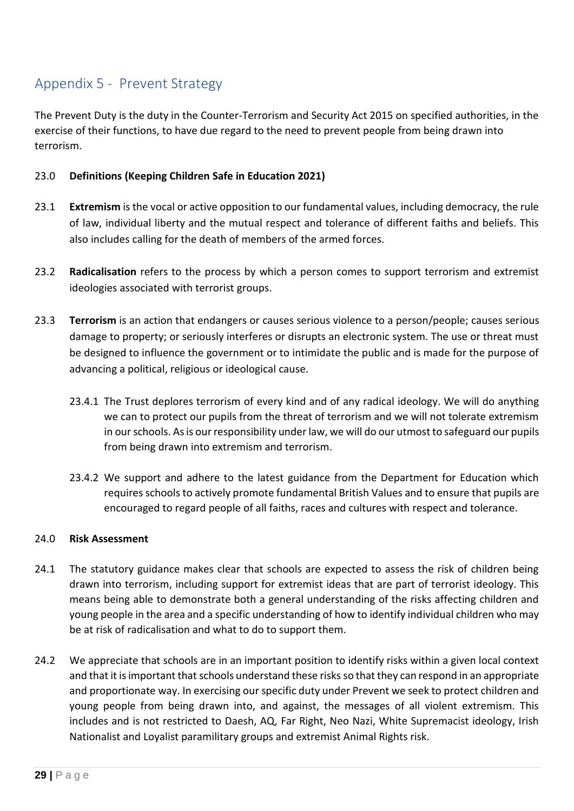### Appendix 5 - Prevent Strategy

The Prevent Duty is the duty in the Counter-Terrorism and Security Act 2015 on specified authorities, in the exercise of their functions, to have due regard to the need to prevent people from being drawn into terrorism.

#### 23.0 **Definitions (Keeping Children Safe in Education 2021)**

- 23.1 **Extremism** is the vocal or active opposition to our fundamental values, including democracy, the rule of law, individual liberty and the mutual respect and tolerance of different faiths and beliefs. This also includes calling for the death of members of the armed forces.
- 23.2 **Radicalisation** refers to the process by which a person comes to support terrorism and extremist ideologies associated with terrorist groups.
- 23.3 **Terrorism** is an action that endangers or causes serious violence to a person/people; causes serious damage to property; or seriously interferes or disrupts an electronic system. The use or threat must be designed to influence the government or to intimidate the public and is made for the purpose of advancing a political, religious or ideological cause.
	- 23.4.1 The Trust deplores terrorism of every kind and of any radical ideology. We will do anything we can to protect our pupils from the threat of terrorism and we will not tolerate extremism in our schools. As is our responsibility under law, we will do our utmost to safeguard our pupils from being drawn into extremism and terrorism.
	- 23.4.2 We support and adhere to the latest guidance from the Department for Education which requires schools to actively promote fundamental British Values and to ensure that pupils are encouraged to regard people of all faiths, races and cultures with respect and tolerance.

#### 24.0 **Risk Assessment**

- 24.1 The statutory guidance makes clear that schools are expected to assess the risk of children being drawn into terrorism, including support for extremist ideas that are part of terrorist ideology. This means being able to demonstrate both a general understanding of the risks affecting children and young people in the area and a specific understanding of how to identify individual children who may be at risk of radicalisation and what to do to support them.
- 24.2 We appreciate that schools are in an important position to identify risks within a given local context and that it is important that schools understand these risks so that they can respond in an appropriate and proportionate way. In exercising our specific duty under Prevent we seek to protect children and young people from being drawn into, and against, the messages of all violent extremism. This includes and is not restricted to Daesh, AQ, Far Right, Neo Nazi, White Supremacist ideology, Irish Nationalist and Loyalist paramilitary groups and extremist Animal Rights risk.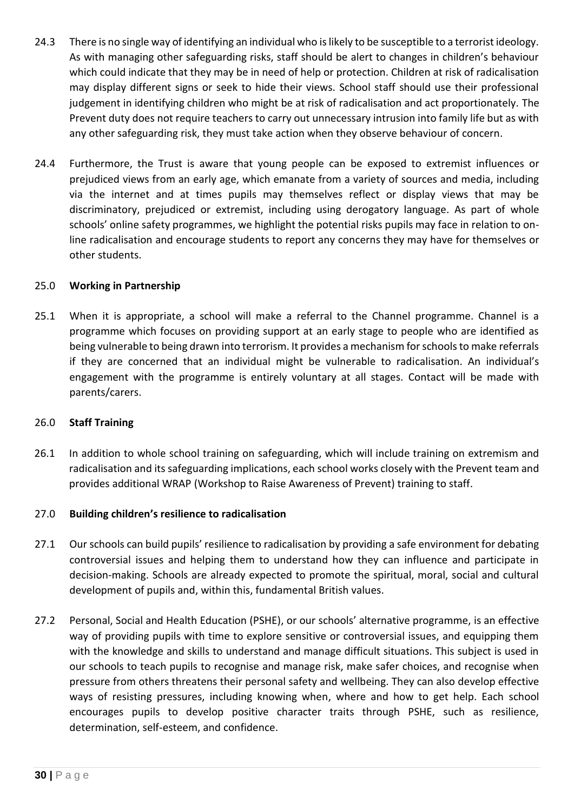- 24.3 There is no single way of identifying an individual who is likely to be susceptible to a terrorist ideology. As with managing other safeguarding risks, staff should be alert to changes in children's behaviour which could indicate that they may be in need of help or protection. Children at risk of radicalisation may display different signs or seek to hide their views. School staff should use their professional judgement in identifying children who might be at risk of radicalisation and act proportionately. The Prevent duty does not require teachers to carry out unnecessary intrusion into family life but as with any other safeguarding risk, they must take action when they observe behaviour of concern.
- 24.4 Furthermore, the Trust is aware that young people can be exposed to extremist influences or prejudiced views from an early age, which emanate from a variety of sources and media, including via the internet and at times pupils may themselves reflect or display views that may be discriminatory, prejudiced or extremist, including using derogatory language. As part of whole schools' online safety programmes, we highlight the potential risks pupils may face in relation to online radicalisation and encourage students to report any concerns they may have for themselves or other students.

#### 25.0 **Working in Partnership**

25.1 When it is appropriate, a school will make a referral to the Channel programme. Channel is a programme which focuses on providing support at an early stage to people who are identified as being vulnerable to being drawn into terrorism. It provides a mechanism for schools to make referrals if they are concerned that an individual might be vulnerable to radicalisation. An individual's engagement with the programme is entirely voluntary at all stages. Contact will be made with parents/carers.

#### 26.0 **Staff Training**

26.1 In addition to whole school training on safeguarding, which will include training on extremism and radicalisation and its safeguarding implications, each school works closely with the Prevent team and provides additional WRAP (Workshop to Raise Awareness of Prevent) training to staff.

#### 27.0 **Building children's resilience to radicalisation**

- 27.1 Our schools can build pupils' resilience to radicalisation by providing a safe environment for debating controversial issues and helping them to understand how they can influence and participate in decision-making. Schools are already expected to promote the spiritual, moral, social and cultural development of pupils and, within this, fundamental British values.
- 27.2 Personal, Social and Health Education (PSHE), or our schools' alternative programme, is an effective way of providing pupils with time to explore sensitive or controversial issues, and equipping them with the knowledge and skills to understand and manage difficult situations. This subject is used in our schools to teach pupils to recognise and manage risk, make safer choices, and recognise when pressure from others threatens their personal safety and wellbeing. They can also develop effective ways of resisting pressures, including knowing when, where and how to get help. Each school encourages pupils to develop positive character traits through PSHE, such as resilience, determination, self-esteem, and confidence.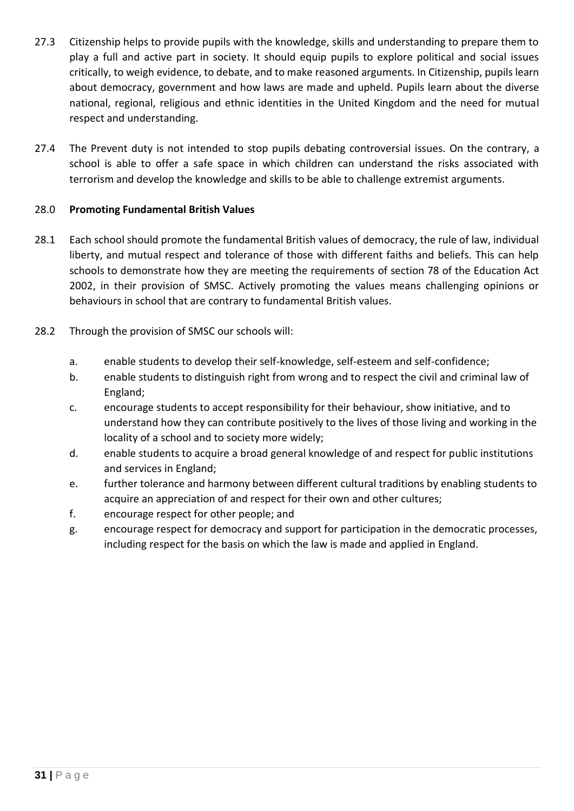- 27.3 Citizenship helps to provide pupils with the knowledge, skills and understanding to prepare them to play a full and active part in society. It should equip pupils to explore political and social issues critically, to weigh evidence, to debate, and to make reasoned arguments. In Citizenship, pupils learn about democracy, government and how laws are made and upheld. Pupils learn about the diverse national, regional, religious and ethnic identities in the United Kingdom and the need for mutual respect and understanding.
- 27.4 The Prevent duty is not intended to stop pupils debating controversial issues. On the contrary, a school is able to offer a safe space in which children can understand the risks associated with terrorism and develop the knowledge and skills to be able to challenge extremist arguments.

#### 28.0 **Promoting Fundamental British Values**

- 28.1 Each school should promote the fundamental British values of democracy, the rule of law, individual liberty, and mutual respect and tolerance of those with different faiths and beliefs. This can help schools to demonstrate how they are meeting the requirements of section 78 of the Education Act 2002, in their provision of SMSC. Actively promoting the values means challenging opinions or behaviours in school that are contrary to fundamental British values.
- 28.2 Through the provision of SMSC our schools will:
	- a. enable students to develop their self-knowledge, self-esteem and self-confidence;
	- b. enable students to distinguish right from wrong and to respect the civil and criminal law of England;
	- c. encourage students to accept responsibility for their behaviour, show initiative, and to understand how they can contribute positively to the lives of those living and working in the locality of a school and to society more widely;
	- d. enable students to acquire a broad general knowledge of and respect for public institutions and services in England;
	- e. further tolerance and harmony between different cultural traditions by enabling students to acquire an appreciation of and respect for their own and other cultures;
	- f. encourage respect for other people; and
	- g. encourage respect for democracy and support for participation in the democratic processes, including respect for the basis on which the law is made and applied in England.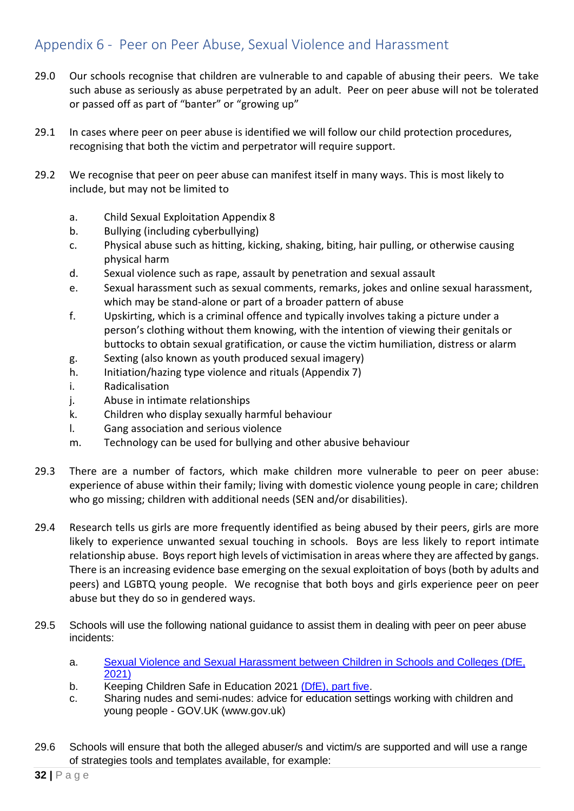### <span id="page-31-0"></span>Appendix 6 - Peer on Peer Abuse, Sexual Violence and Harassment

- 29.0 Our schools recognise that children are vulnerable to and capable of abusing their peers. We take such abuse as seriously as abuse perpetrated by an adult. Peer on peer abuse will not be tolerated or passed off as part of "banter" or "growing up"
- 29.1 In cases where peer on peer abuse is identified we will follow our child protection procedures, recognising that both the victim and perpetrator will require support.
- 29.2 We recognise that peer on peer abuse can manifest itself in many ways. This is most likely to include, but may not be limited to
	- a. Child Sexual Exploitation Appendix 8
	- b. Bullying (including cyberbullying)
	- c. Physical abuse such as hitting, kicking, shaking, biting, hair pulling, or otherwise causing physical harm
	- d. Sexual violence such as rape, assault by penetration and sexual assault
	- e. Sexual harassment such as sexual comments, remarks, jokes and online sexual harassment, which may be stand-alone or part of a broader pattern of abuse
	- f. Upskirting, which is a criminal offence and typically involves taking a picture under a person's clothing without them knowing, with the intention of viewing their genitals or buttocks to obtain sexual gratification, or cause the victim humiliation, distress or alarm
	- g. Sexting (also known as youth produced sexual imagery)
	- h. Initiation/hazing type violence and rituals (Appendix 7)
	- i. Radicalisation
	- j. Abuse in intimate relationships
	- k. Children who display sexually harmful behaviour
	- l. Gang association and serious violence
	- m. Technology can be used for bullying and other abusive behaviour
- 29.3 There are a number of factors, which make children more vulnerable to peer on peer abuse: experience of abuse within their family; living with domestic violence young people in care; children who go missing; children with additional needs (SEN and/or disabilities).
- 29.4 Research tells us girls are more frequently identified as being abused by their peers, girls are more likely to experience unwanted sexual touching in schools. Boys are less likely to report intimate relationship abuse. Boys report high levels of victimisation in areas where they are affected by gangs. There is an increasing evidence base emerging on the sexual exploitation of boys (both by adults and peers) and LGBTQ young people. We recognise that both boys and girls experience peer on peer abuse but they do so in gendered ways.
- 29.5 Schools will use the following national guidance to assist them in dealing with peer on peer abuse incidents:
	- a. [Sexual Violence and Sexual Harassment between Children in Schools and Colleges \(DfE,](https://assets.publishing.service.gov.uk/government/uploads/system/uploads/attachment_data/file/1014224/Sexual_violence_and_sexual_harassment_between_children_in_schools_and_colleges.pdf)  [2021\)](https://assets.publishing.service.gov.uk/government/uploads/system/uploads/attachment_data/file/1014224/Sexual_violence_and_sexual_harassment_between_children_in_schools_and_colleges.pdf)
	- b. Keeping Children Safe in Education 2021 [\(DfE\), part five.](https://assets.publishing.service.gov.uk/government/uploads/system/uploads/attachment_data/file/1014057/KCSIE_2021_September.pdf)
	- c. Sharing nudes and semi-nudes: advice for education settings working with children and young people - GOV.UK (www.gov.uk)
- 29.6 Schools will ensure that both the alleged abuser/s and victim/s are supported and will use a range of strategies tools and templates available, for example: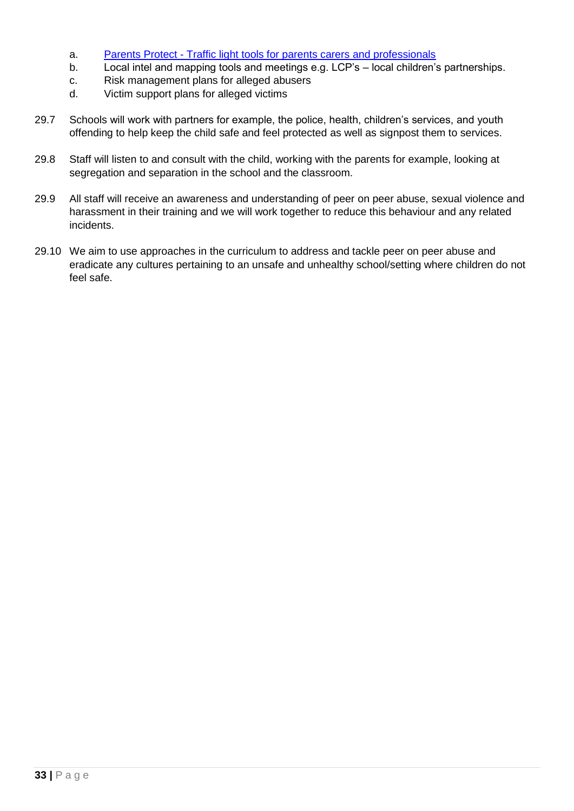- a. Parents Protect [Traffic light tools for parents carers and professionals](https://www.parentsprotect.co.uk/traffic-light-tools.htm)
- b. Local intel and mapping tools and meetings e.g. LCP's local children's partnerships.
- c. Risk management plans for alleged abusers
- d. Victim support plans for alleged victims
- 29.7 Schools will work with partners for example, the police, health, children's services, and youth offending to help keep the child safe and feel protected as well as signpost them to services.
- 29.8 Staff will listen to and consult with the child, working with the parents for example, looking at segregation and separation in the school and the classroom.
- 29.9 All staff will receive an awareness and understanding of peer on peer abuse, sexual violence and harassment in their training and we will work together to reduce this behaviour and any related incidents.
- 29.10 We aim to use approaches in the curriculum to address and tackle peer on peer abuse and eradicate any cultures pertaining to an unsafe and unhealthy school/setting where children do not feel safe.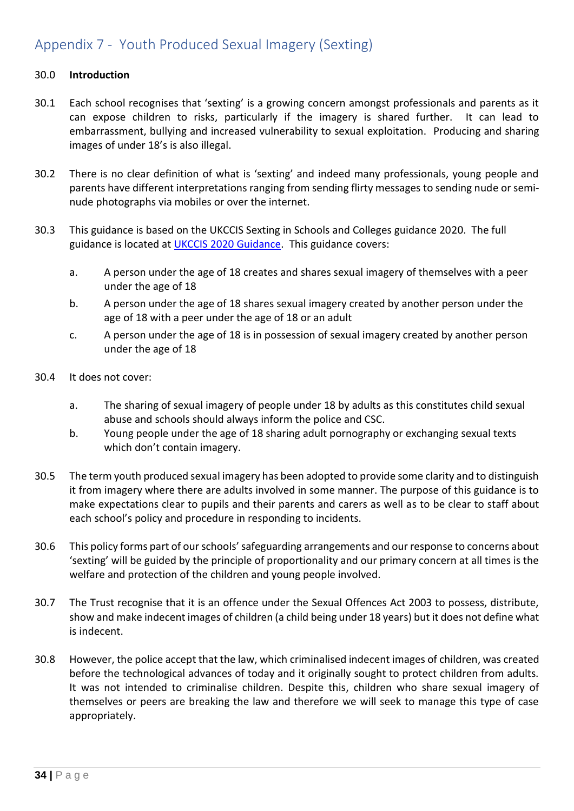### <span id="page-33-0"></span>Appendix 7 - Youth Produced Sexual Imagery (Sexting)

#### 30.0 **Introduction**

- 30.1 Each school recognises that 'sexting' is a growing concern amongst professionals and parents as it can expose children to risks, particularly if the imagery is shared further. It can lead to embarrassment, bullying and increased vulnerability to sexual exploitation. Producing and sharing images of under 18's is also illegal.
- 30.2 There is no clear definition of what is 'sexting' and indeed many professionals, young people and parents have different interpretations ranging from sending flirty messages to sending nude or seminude photographs via mobiles or over the internet.
- 30.3 This guidance is based on the UKCCIS Sexting in Schools and Colleges guidance 2020. The full guidance is located at [UKCCIS 2020](https://www.gov.uk/government/uploads/system/uploads/attachment_data/file/545997/Sexting_in_schools_and_colleges_UKCCIS__4_.pdf) Guidance. This guidance covers:
	- a. A person under the age of 18 creates and shares sexual imagery of themselves with a peer under the age of 18
	- b. A person under the age of 18 shares sexual imagery created by another person under the age of 18 with a peer under the age of 18 or an adult
	- c. A person under the age of 18 is in possession of sexual imagery created by another person under the age of 18
- 30.4 It does not cover:
	- a. The sharing of sexual imagery of people under 18 by adults as this constitutes child sexual abuse and schools should always inform the police and CSC.
	- b. Young people under the age of 18 sharing adult pornography or exchanging sexual texts which don't contain imagery.
- 30.5 The term youth produced sexual imagery has been adopted to provide some clarity and to distinguish it from imagery where there are adults involved in some manner. The purpose of this guidance is to make expectations clear to pupils and their parents and carers as well as to be clear to staff about each school's policy and procedure in responding to incidents.
- 30.6 This policy forms part of our schools'safeguarding arrangements and our response to concerns about 'sexting' will be guided by the principle of proportionality and our primary concern at all times is the welfare and protection of the children and young people involved.
- 30.7 The Trust recognise that it is an offence under the Sexual Offences Act 2003 to possess, distribute, show and make indecent images of children (a child being under 18 years) but it does not define what is indecent.
- 30.8 However, the police accept that the law, which criminalised indecent images of children, was created before the technological advances of today and it originally sought to protect children from adults. It was not intended to criminalise children. Despite this, children who share sexual imagery of themselves or peers are breaking the law and therefore we will seek to manage this type of case appropriately.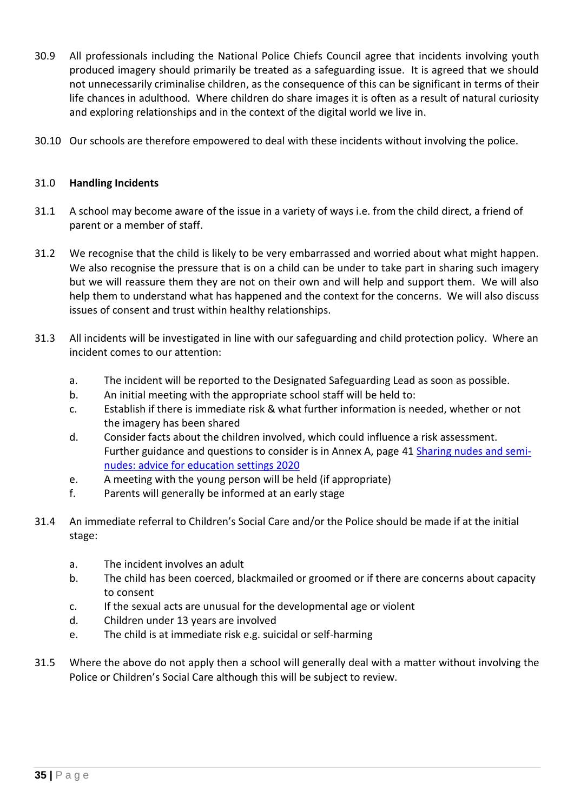- 30.9 All professionals including the National Police Chiefs Council agree that incidents involving youth produced imagery should primarily be treated as a safeguarding issue. It is agreed that we should not unnecessarily criminalise children, as the consequence of this can be significant in terms of their life chances in adulthood. Where children do share images it is often as a result of natural curiosity and exploring relationships and in the context of the digital world we live in.
- 30.10 Our schools are therefore empowered to deal with these incidents without involving the police.

#### 31.0 **Handling Incidents**

- 31.1 A school may become aware of the issue in a variety of ways i.e. from the child direct, a friend of parent or a member of staff.
- 31.2 We recognise that the child is likely to be very embarrassed and worried about what might happen. We also recognise the pressure that is on a child can be under to take part in sharing such imagery but we will reassure them they are not on their own and will help and support them. We will also help them to understand what has happened and the context for the concerns. We will also discuss issues of consent and trust within healthy relationships.
- 31.3 All incidents will be investigated in line with our safeguarding and child protection policy. Where an incident comes to our attention:
	- a. The incident will be reported to the Designated Safeguarding Lead as soon as possible.
	- b. An initial meeting with the appropriate school staff will be held to:
	- c. Establish if there is immediate risk & what further information is needed, whether or not the imagery has been shared
	- d. Consider facts about the children involved, which could influence a risk assessment. Further guidance and questions to consider is in Annex A, page 41 [Sharing](https://www.gov.uk/government/uploads/system/uploads/attachment_data/file/545997/Sexting_in_schools_and_colleges_UKCCIS__4_.pdf) nudes and seminudes: advice for education settings 2020
	- e. A meeting with the young person will be held (if appropriate)
	- f. Parents will generally be informed at an early stage
- 31.4 An immediate referral to Children's Social Care and/or the Police should be made if at the initial stage:
	- a. The incident involves an adult
	- b. The child has been coerced, blackmailed or groomed or if there are concerns about capacity to consent
	- c. If the sexual acts are unusual for the developmental age or violent
	- d. Children under 13 years are involved
	- e. The child is at immediate risk e.g. suicidal or self-harming
- 31.5 Where the above do not apply then a school will generally deal with a matter without involving the Police or Children's Social Care although this will be subject to review.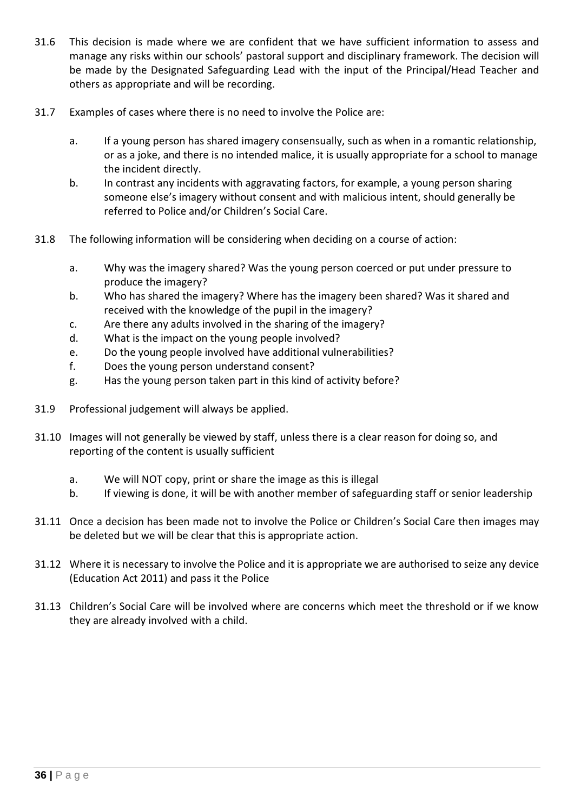- 31.6 This decision is made where we are confident that we have sufficient information to assess and manage any risks within our schools' pastoral support and disciplinary framework. The decision will be made by the Designated Safeguarding Lead with the input of the Principal/Head Teacher and others as appropriate and will be recording.
- 31.7 Examples of cases where there is no need to involve the Police are:
	- a. If a young person has shared imagery consensually, such as when in a romantic relationship, or as a joke, and there is no intended malice, it is usually appropriate for a school to manage the incident directly.
	- b. In contrast any incidents with aggravating factors, for example, a young person sharing someone else's imagery without consent and with malicious intent, should generally be referred to Police and/or Children's Social Care.
- 31.8 The following information will be considering when deciding on a course of action:
	- a. Why was the imagery shared? Was the young person coerced or put under pressure to produce the imagery?
	- b. Who has shared the imagery? Where has the imagery been shared? Was it shared and received with the knowledge of the pupil in the imagery?
	- c. Are there any adults involved in the sharing of the imagery?
	- d. What is the impact on the young people involved?
	- e. Do the young people involved have additional vulnerabilities?
	- f. Does the young person understand consent?
	- g. Has the young person taken part in this kind of activity before?
- 31.9 Professional judgement will always be applied.
- 31.10 Images will not generally be viewed by staff, unless there is a clear reason for doing so, and reporting of the content is usually sufficient
	- a. We will NOT copy, print or share the image as this is illegal
	- b. If viewing is done, it will be with another member of safeguarding staff or senior leadership
- 31.11 Once a decision has been made not to involve the Police or Children's Social Care then images may be deleted but we will be clear that this is appropriate action.
- 31.12 Where it is necessary to involve the Police and it is appropriate we are authorised to seize any device (Education Act 2011) and pass it the Police
- 31.13 Children's Social Care will be involved where are concerns which meet the threshold or if we know they are already involved with a child.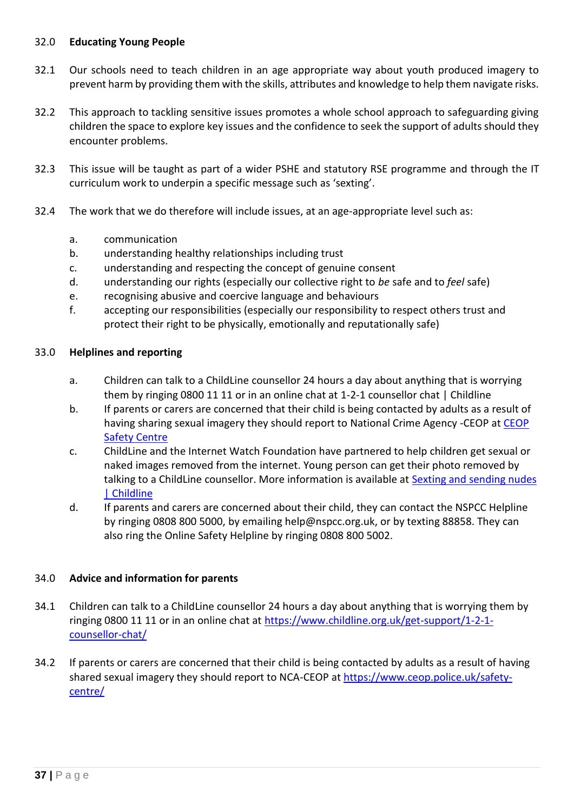#### 32.0 **Educating Young People**

- 32.1 Our schools need to teach children in an age appropriate way about youth produced imagery to prevent harm by providing them with the skills, attributes and knowledge to help them navigate risks.
- 32.2 This approach to tackling sensitive issues promotes a whole school approach to safeguarding giving children the space to explore key issues and the confidence to seek the support of adults should they encounter problems.
- 32.3 This issue will be taught as part of a wider PSHE and statutory RSE programme and through the IT curriculum work to underpin a specific message such as 'sexting'.
- 32.4 The work that we do therefore will include issues, at an age-appropriate level such as:
	- a. communication
	- b. understanding healthy relationships including trust
	- c. understanding and respecting the concept of genuine consent
	- d. understanding our rights (especially our collective right to *be* safe and to *feel* safe)
	- e. recognising abusive and coercive language and behaviours
	- f. accepting our responsibilities (especially our responsibility to respect others trust and protect their right to be physically, emotionally and reputationally safe)

#### 33.0 **Helplines and reporting**

- a. Children can talk to a ChildLine counsellor 24 hours a day about anything that is worrying them by ringing 0800 11 11 or in an online chat at 1-2-1 counsellor chat | Childline
- b. If parents or carers are concerned that their child is being contacted by adults as a result of having sharing sexual imagery they should report to National Crime Agency -CEOP at CEOP [Safety Centre](https://www.ceop.police.uk/Safety-Centre/)
- c. ChildLine and the Internet Watch Foundation have partnered to help children get sexual or naked images removed from the internet. Young person can get their photo removed by talking to a ChildLine counsellor. More information is available at Sexting and sending nudes [| Childline](https://www.childline.org.uk/info-advice/bullying-abuse-safety/online-mobile-safety/sexting/)
- d. If parents and carers are concerned about their child, they can contact the NSPCC Helpline by ringing 0808 800 5000, by emailing help@nspcc.org.uk, or by texting 88858. They can also ring the Online Safety Helpline by ringing 0808 800 5002.

#### 34.0 **Advice and information for parents**

- 34.1 Children can talk to a ChildLine counsellor 24 hours a day about anything that is worrying them by ringing 0800 11 11 or in an online chat at [https://www.childline.org.uk/get-support/1-2-1](https://www.childline.org.uk/get-support/1-2-1-counsellor-chat/) [counsellor-chat/](https://www.childline.org.uk/get-support/1-2-1-counsellor-chat/)
- 34.2 If parents or carers are concerned that their child is being contacted by adults as a result of having shared sexual imagery they should report to NCA-CEOP at [https://www.ceop.police.uk/safety](https://www.ceop.police.uk/safety-centre/)[centre/](https://www.ceop.police.uk/safety-centre/)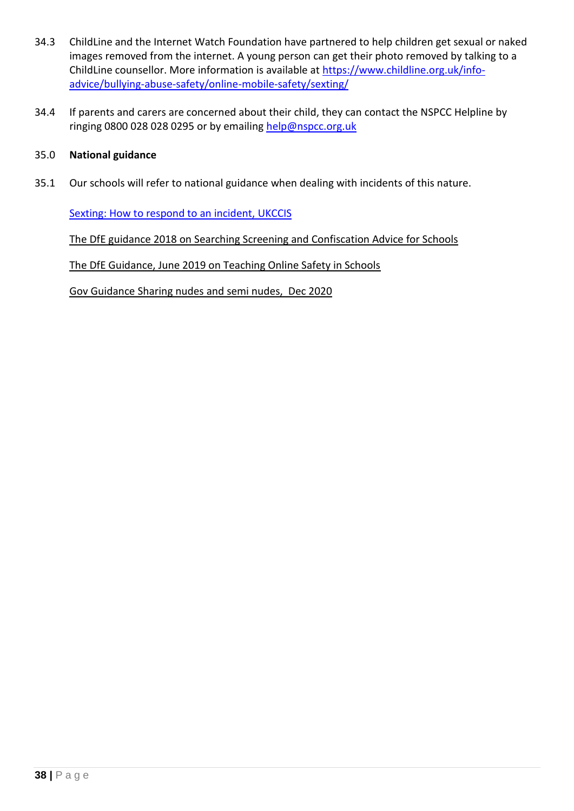- 34.3 ChildLine and the Internet Watch Foundation have partnered to help children get sexual or naked images removed from the internet. A young person can get their photo removed by talking to a ChildLine counsellor. More information is available at [https://www.childline.org.uk/info](https://www.childline.org.uk/info-advice/bullying-abuse-safety/online-mobile-safety/sexting/)[advice/bullying-abuse-safety/online-mobile-safety/sexting/](https://www.childline.org.uk/info-advice/bullying-abuse-safety/online-mobile-safety/sexting/)
- 34.4 If parents and carers are concerned about their child, they can contact the NSPCC Helpline by ringing 0800 028 028 0295 or by emailing [help@nspcc.org.uk](mailto:help@nspcc.org.uk)

#### 35.0 **National guidance**

35.1 Our schools will refer to national guidance when dealing with incidents of this nature.

[Sexting: How to respond to an incident,](https://assets.publishing.service.gov.uk/government/uploads/system/uploads/attachment_data/file/647389/Overview_of_Sexting_Guidance.pdf) UKCCIS

[The DfE guidance 2018 on Searching Screening and Confiscation Advice for Schools](https://www.gov.uk/government/publications/searching-screening-and-confiscation)

[The DfE Guidance, June 2019 on Teaching Online Safety in Schools](https://www.gov.uk/government/publications/teaching-online-safety-in-schools)

[Gov Guidance Sharing nudes and semi nudes,](https://www.gov.uk/government/publications/sharing-nudes-and-semi-nudes-advice-for-education-settings-working-with-children-and-young-people) Dec 2020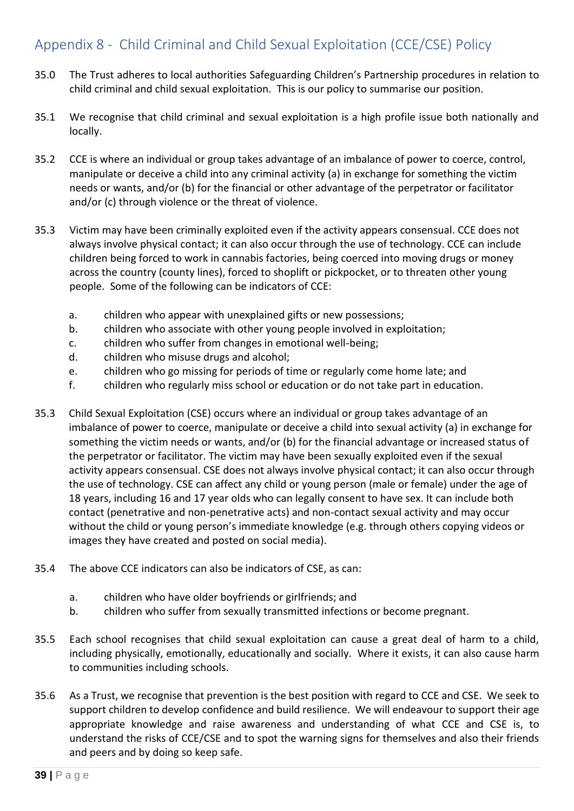### <span id="page-38-0"></span>Appendix 8 - Child Criminal and Child Sexual Exploitation (CCE/CSE) Policy

- 35.0 The Trust adheres to local authorities Safeguarding Children's Partnership procedures in relation to child criminal and child sexual exploitation. This is our policy to summarise our position.
- 35.1 We recognise that child criminal and sexual exploitation is a high profile issue both nationally and locally.
- 35.2 CCE is where an individual or group takes advantage of an imbalance of power to coerce, control, manipulate or deceive a child into any criminal activity (a) in exchange for something the victim needs or wants, and/or (b) for the financial or other advantage of the perpetrator or facilitator and/or (c) through violence or the threat of violence.
- 35.3 Victim may have been criminally exploited even if the activity appears consensual. CCE does not always involve physical contact; it can also occur through the use of technology. CCE can include children being forced to work in cannabis factories, being coerced into moving drugs or money across the country (county lines), forced to shoplift or pickpocket, or to threaten other young people. Some of the following can be indicators of CCE:
	- a. children who appear with unexplained gifts or new possessions;
	- b. children who associate with other young people involved in exploitation;
	- c. children who suffer from changes in emotional well-being;
	- d. children who misuse drugs and alcohol;
	- e. children who go missing for periods of time or regularly come home late; and
	- f. children who regularly miss school or education or do not take part in education.
- 35.3 Child Sexual Exploitation (CSE) occurs where an individual or group takes advantage of an imbalance of power to coerce, manipulate or deceive a child into sexual activity (a) in exchange for something the victim needs or wants, and/or (b) for the financial advantage or increased status of the perpetrator or facilitator. The victim may have been sexually exploited even if the sexual activity appears consensual. CSE does not always involve physical contact; it can also occur through the use of technology. CSE can affect any child or young person (male or female) under the age of 18 years, including 16 and 17 year olds who can legally consent to have sex. It can include both contact (penetrative and non-penetrative acts) and non-contact sexual activity and may occur without the child or young person's immediate knowledge (e.g. through others copying videos or images they have created and posted on social media).
- 35.4 The above CCE indicators can also be indicators of CSE, as can:
	- a. children who have older boyfriends or girlfriends; and
	- b. children who suffer from sexually transmitted infections or become pregnant.
- 35.5 Each school recognises that child sexual exploitation can cause a great deal of harm to a child, including physically, emotionally, educationally and socially. Where it exists, it can also cause harm to communities including schools.
- 35.6 As a Trust, we recognise that prevention is the best position with regard to CCE and CSE. We seek to support children to develop confidence and build resilience. We will endeavour to support their age appropriate knowledge and raise awareness and understanding of what CCE and CSE is, to understand the risks of CCE/CSE and to spot the warning signs for themselves and also their friends and peers and by doing so keep safe.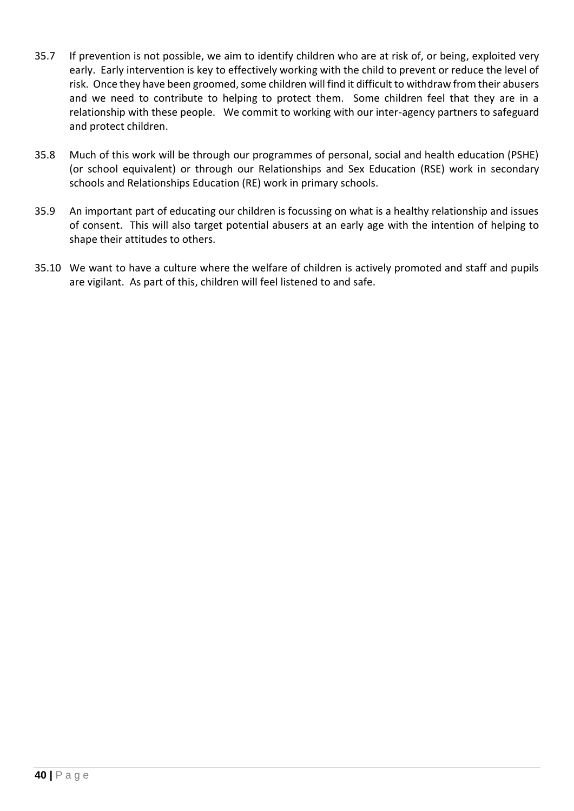- 35.7 If prevention is not possible, we aim to identify children who are at risk of, or being, exploited very early. Early intervention is key to effectively working with the child to prevent or reduce the level of risk. Once they have been groomed, some children will find it difficult to withdraw from their abusers and we need to contribute to helping to protect them. Some children feel that they are in a relationship with these people. We commit to working with our inter-agency partners to safeguard and protect children.
- 35.8 Much of this work will be through our programmes of personal, social and health education (PSHE) (or school equivalent) or through our Relationships and Sex Education (RSE) work in secondary schools and Relationships Education (RE) work in primary schools.
- 35.9 An important part of educating our children is focussing on what is a healthy relationship and issues of consent. This will also target potential abusers at an early age with the intention of helping to shape their attitudes to others.
- 35.10 We want to have a culture where the welfare of children is actively promoted and staff and pupils are vigilant. As part of this, children will feel listened to and safe.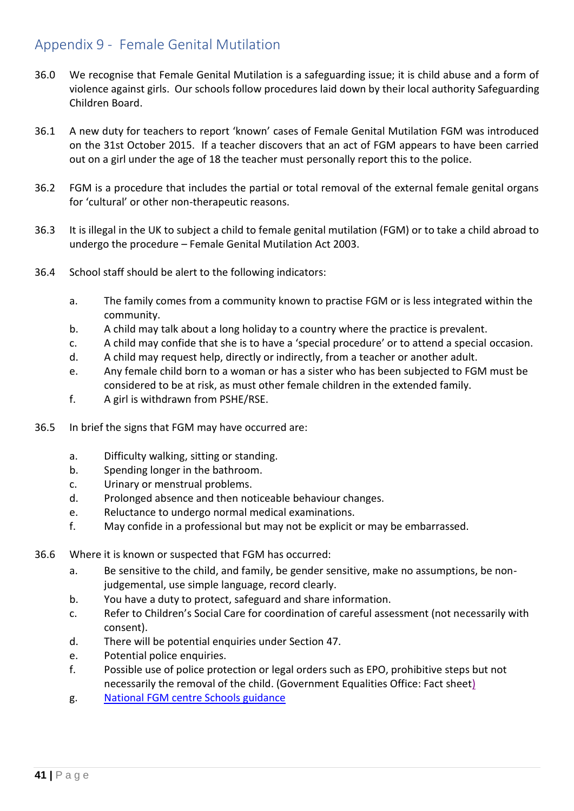### <span id="page-40-0"></span>Appendix 9 - Female Genital Mutilation

- 36.0 We recognise that Female Genital Mutilation is a safeguarding issue; it is child abuse and a form of violence against girls. Our schools follow procedures laid down by their local authority Safeguarding Children Board.
- 36.1 A new duty for teachers to report 'known' cases of Female Genital Mutilation FGM was introduced on the 31st October 2015. If a teacher discovers that an act of FGM appears to have been carried out on a girl under the age of 18 the teacher must personally report this to the police.
- 36.2 FGM is a procedure that includes the partial or total removal of the external female genital organs for 'cultural' or other non-therapeutic reasons.
- 36.3 It is illegal in the UK to subject a child to female genital mutilation (FGM) or to take a child abroad to undergo the procedure – Female Genital Mutilation Act 2003.
- 36.4 School staff should be alert to the following indicators:
	- a. The family comes from a community known to practise FGM or is less integrated within the community.
	- b. A child may talk about a long holiday to a country where the practice is prevalent.
	- c. A child may confide that she is to have a 'special procedure' or to attend a special occasion.
	- d. A child may request help, directly or indirectly, from a teacher or another adult.
	- e. Any female child born to a woman or has a sister who has been subjected to FGM must be considered to be at risk, as must other female children in the extended family.
	- f. A girl is withdrawn from PSHE/RSE.
- 36.5 In brief the signs that FGM may have occurred are:
	- a. Difficulty walking, sitting or standing.
	- b. Spending longer in the bathroom.
	- c. Urinary or menstrual problems.
	- d. Prolonged absence and then noticeable behaviour changes.
	- e. Reluctance to undergo normal medical examinations.
	- f. May confide in a professional but may not be explicit or may be embarrassed.
- 36.6 Where it is known or suspected that FGM has occurred:
	- a. Be sensitive to the child, and family, be gender sensitive, make no assumptions, be nonjudgemental, use simple language, record clearly.
	- b. You have a duty to protect, safeguard and share information.
	- c. Refer to Children's Social Care for coordination of careful assessment (not necessarily with consent).
	- d. There will be potential enquiries under Section 47.
	- e. Potential police enquiries.
	- f. Possible use of police protection or legal orders such as EPO, prohibitive steps but not necessarily the removal of the child. (Government Equalities Office: Fact sheet)
	- g. [National FGM centre Schools guidance](http://nationalfgmcentre.org.uk/wp-content/uploads/2019/06/FGM-Schools-Guidance-National-FGM-Centre.pdf)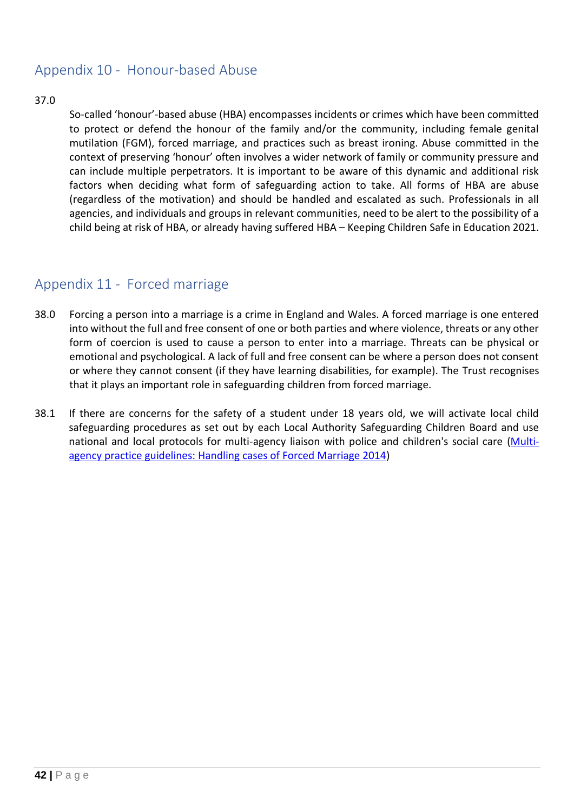### <span id="page-41-0"></span>Appendix 10 - Honour-based Abuse

#### 37.0

So-called 'honour'-based abuse (HBA) encompasses incidents or crimes which have been committed to protect or defend the honour of the family and/or the community, including female genital mutilation (FGM), forced marriage, and practices such as breast ironing. Abuse committed in the context of preserving 'honour' often involves a wider network of family or community pressure and can include multiple perpetrators. It is important to be aware of this dynamic and additional risk factors when deciding what form of safeguarding action to take. All forms of HBA are abuse (regardless of the motivation) and should be handled and escalated as such. Professionals in all agencies, and individuals and groups in relevant communities, need to be alert to the possibility of a child being at risk of HBA, or already having suffered HBA – Keeping Children Safe in Education 2021.

### <span id="page-41-1"></span>Appendix 11 - Forced marriage

- 38.0 Forcing a person into a marriage is a crime in England and Wales. A forced marriage is one entered into without the full and free consent of one or both parties and where violence, threats or any other form of coercion is used to cause a person to enter into a marriage. Threats can be physical or emotional and psychological. A lack of full and free consent can be where a person does not consent or where they cannot consent (if they have learning disabilities, for example). The Trust recognises that it plays an important role in safeguarding children from forced marriage.
- 38.1 If there are concerns for the safety of a student under 18 years old, we will activate local child safeguarding procedures as set out by each Local Authority Safeguarding Children Board and use national and local protocols for multi-agency liaison with police and children's social care [\(Multi](https://assets.publishing.service.gov.uk/government/uploads/system/uploads/attachment_data/file/322307/HMG_MULTI_AGENCY_PRACTICE_GUIDELINES_v1_180614_FINAL.pdf)[agency practice guidelines: Handling cases of Forced Marriage 2014\)](https://assets.publishing.service.gov.uk/government/uploads/system/uploads/attachment_data/file/322307/HMG_MULTI_AGENCY_PRACTICE_GUIDELINES_v1_180614_FINAL.pdf)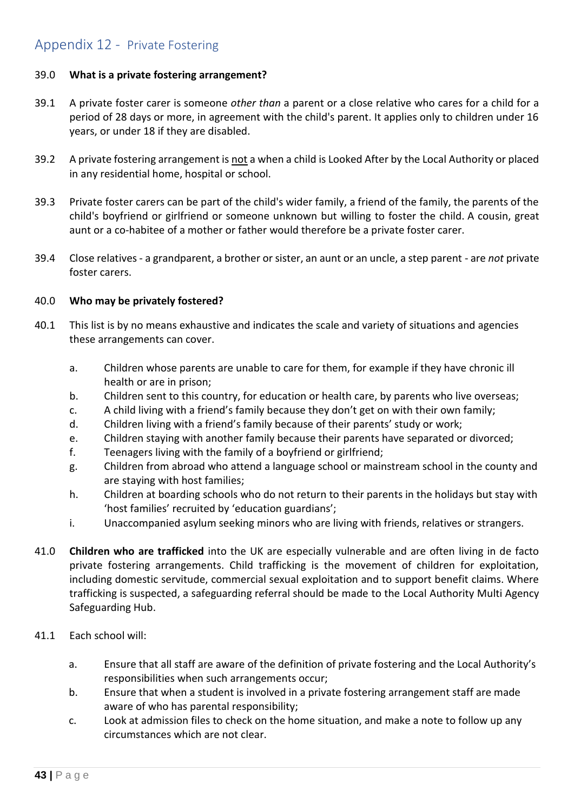### <span id="page-42-0"></span>Appendix 12 - Private Fostering

#### 39.0 **What is a private fostering arrangement?**

- 39.1 A private foster carer is someone *other than* a parent or a close relative who cares for a child for a period of 28 days or more, in agreement with the child's parent. It applies only to children under 16 years, or under 18 if they are disabled.
- 39.2 A private fostering arrangement is not a when a child is Looked After by the Local Authority or placed in any residential home, hospital or school.
- 39.3 Private foster carers can be part of the child's wider family, a friend of the family, the parents of the child's boyfriend or girlfriend or someone unknown but willing to foster the child. A cousin, great aunt or a co-habitee of a mother or father would therefore be a private foster carer.
- 39.4 Close relatives a grandparent, a brother or sister, an aunt or an uncle, a step parent are *not* private foster carers.

#### 40.0 **Who may be privately fostered?**

- 40.1 This list is by no means exhaustive and indicates the scale and variety of situations and agencies these arrangements can cover.
	- a. Children whose parents are unable to care for them, for example if they have chronic ill health or are in prison;
	- b. Children sent to this country, for education or health care, by parents who live overseas;
	- c. A child living with a friend's family because they don't get on with their own family;
	- d. Children living with a friend's family because of their parents' study or work;
	- e. Children staying with another family because their parents have separated or divorced;
	- f. Teenagers living with the family of a boyfriend or girlfriend;
	- g. Children from abroad who attend a language school or mainstream school in the county and are staying with host families;
	- h. Children at boarding schools who do not return to their parents in the holidays but stay with 'host families' recruited by 'education guardians';
	- i. Unaccompanied asylum seeking minors who are living with friends, relatives or strangers.
- 41.0 **Children who are trafficked** into the UK are especially vulnerable and are often living in de facto private fostering arrangements. Child trafficking is the movement of children for exploitation, including domestic servitude, commercial sexual exploitation and to support benefit claims. Where trafficking is suspected, a safeguarding referral should be made to the Local Authority Multi Agency Safeguarding Hub.
- 41.1 Each school will:
	- a. Ensure that all staff are aware of the definition of private fostering and the Local Authority's responsibilities when such arrangements occur;
	- b. Ensure that when a student is involved in a private fostering arrangement staff are made aware of who has parental responsibility;
	- c. Look at admission files to check on the home situation, and make a note to follow up any circumstances which are not clear.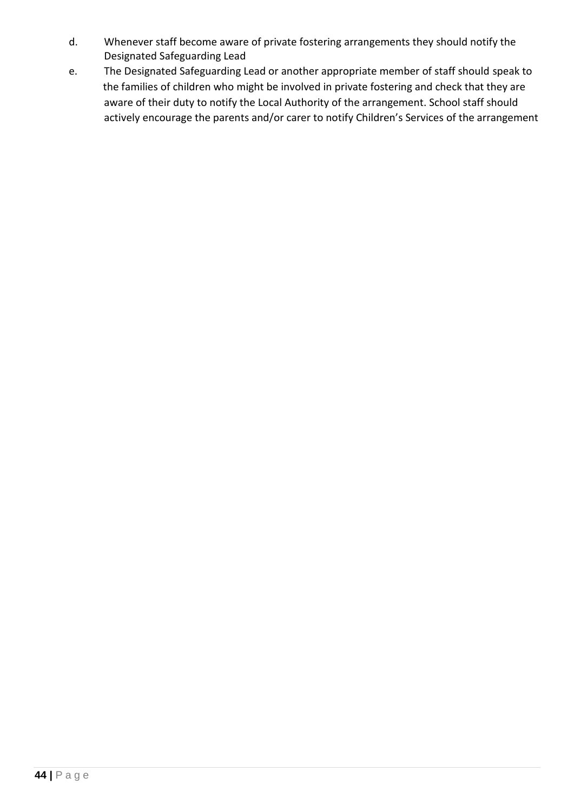- d. Whenever staff become aware of private fostering arrangements they should notify the Designated Safeguarding Lead
- e. The Designated Safeguarding Lead or another appropriate member of staff should speak to the families of children who might be involved in private fostering and check that they are aware of their duty to notify the Local Authority of the arrangement. School staff should actively encourage the parents and/or carer to notify Children's Services of the arrangement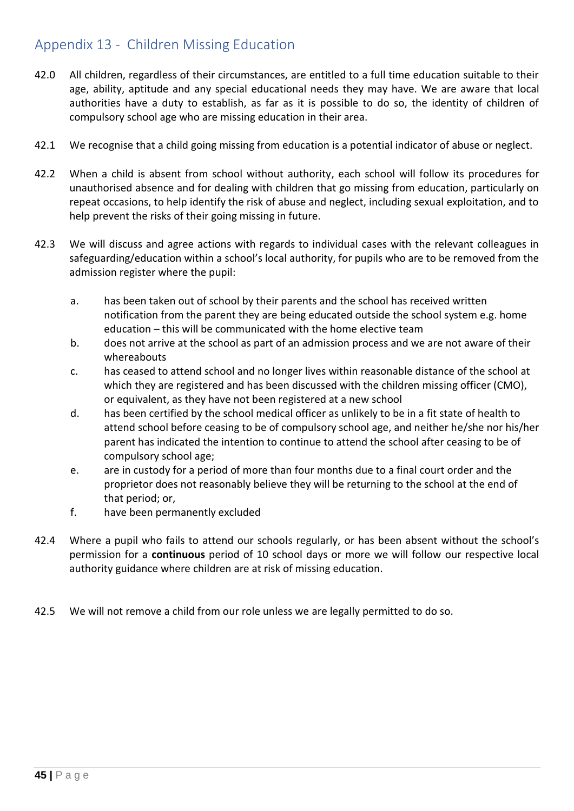### <span id="page-44-0"></span>Appendix 13 - Children Missing Education

- 42.0 All children, regardless of their circumstances, are entitled to a full time education suitable to their age, ability, aptitude and any special educational needs they may have. We are aware that local authorities have a duty to establish, as far as it is possible to do so, the identity of children of compulsory school age who are missing education in their area.
- 42.1 We recognise that a child going missing from education is a potential indicator of abuse or neglect.
- 42.2 When a child is absent from school without authority, each school will follow its procedures for unauthorised absence and for dealing with children that go missing from education, particularly on repeat occasions, to help identify the risk of abuse and neglect, including sexual exploitation, and to help prevent the risks of their going missing in future.
- 42.3 We will discuss and agree actions with regards to individual cases with the relevant colleagues in safeguarding/education within a school's local authority, for pupils who are to be removed from the admission register where the pupil:
	- a. has been taken out of school by their parents and the school has received written notification from the parent they are being educated outside the school system e.g. home education – this will be communicated with the home elective team
	- b. does not arrive at the school as part of an admission process and we are not aware of their whereabouts
	- c. has ceased to attend school and no longer lives within reasonable distance of the school at which they are registered and has been discussed with the children missing officer (CMO), or equivalent, as they have not been registered at a new school
	- d. has been certified by the school medical officer as unlikely to be in a fit state of health to attend school before ceasing to be of compulsory school age, and neither he/she nor his/her parent has indicated the intention to continue to attend the school after ceasing to be of compulsory school age;
	- e. are in custody for a period of more than four months due to a final court order and the proprietor does not reasonably believe they will be returning to the school at the end of that period; or,
	- f. have been permanently excluded
- 42.4 Where a pupil who fails to attend our schools regularly, or has been absent without the school's permission for a **continuous** period of 10 school days or more we will follow our respective local authority guidance where children are at risk of missing education.
- 42.5 We will not remove a child from our role unless we are legally permitted to do so.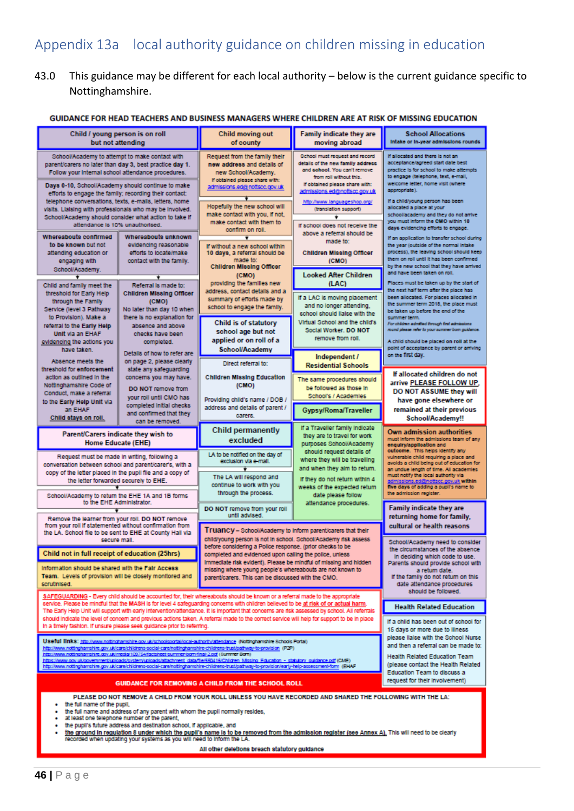# <span id="page-45-0"></span>Appendix 13a local authority guidance on children missing in education

### 43.0 This guidance may be different for each local authority – below is the current guidance specific to Nottinghamshire.

#### GUIDANCE FOR HEAD TEACHERS AND BUSINESS MANAGERS WHERE CHILDREN ARE AT RISK OF MISSING EDUCATION

| Child / young person is on roll<br>but not attending                                                                                                                                                                                                                                                                                                                                                                                                                                                                                                                                                                                                      |                                                                                                                                                                                                                                                                                                    | Child moving out<br>of county                                                                                                                                                                                                                                                                                                                                                                              | Family indicate they are<br>moving abroad                                                                                                                                                                                                                                                    | <b>School Allocations</b><br>Intake or in-year admissions rounds                                                                                                                                                                                                                                                                                                                                   |
|-----------------------------------------------------------------------------------------------------------------------------------------------------------------------------------------------------------------------------------------------------------------------------------------------------------------------------------------------------------------------------------------------------------------------------------------------------------------------------------------------------------------------------------------------------------------------------------------------------------------------------------------------------------|----------------------------------------------------------------------------------------------------------------------------------------------------------------------------------------------------------------------------------------------------------------------------------------------------|------------------------------------------------------------------------------------------------------------------------------------------------------------------------------------------------------------------------------------------------------------------------------------------------------------------------------------------------------------------------------------------------------------|----------------------------------------------------------------------------------------------------------------------------------------------------------------------------------------------------------------------------------------------------------------------------------------------|----------------------------------------------------------------------------------------------------------------------------------------------------------------------------------------------------------------------------------------------------------------------------------------------------------------------------------------------------------------------------------------------------|
| School/Academy to attempt to make contact with<br>parent/carers no later than day 3, best practice day 1.<br>Follow your Internal school attendance procedures.<br>Days 0-10, School/Academy should continue to make<br>efforts to engage the family; recording their contact:<br>telephone conversations, texts, e-mails, letters, home<br>visits. Liaising with professionals who may be involved.<br>School/Academy should consider what action to take if<br>attendance is 10% unauthorised.                                                                                                                                                          |                                                                                                                                                                                                                                                                                                    | Request from the family their<br>new address and details of<br>new School/Academy.<br>If obtained please share with:<br>admissions.ed@nottscc.gov.uk<br>Hopefully the new school will<br>make contact with you, if not,<br>make contact with them to<br>confirm on roll.                                                                                                                                   | School must request and record<br>details of the new family address<br>and cohool. You can't remove<br>from roll without this.<br>If obtained please share with:<br>admissions.ed/bnottscc.gov.uk<br>http://www.languageshop.org/<br>(translation support)<br>If school does not receive the | If allocated and there is not an<br>acceptance/agreed start date best<br>practice is for school to make attempts<br>to engage (telephone, text, e-mail,<br>welcome letter, home visit (where<br>appropriate).<br>If a child/young person has been<br>allocated a place at your<br>school/academy and they do not arrive<br>you must inform the CMO within 10<br>days evidencing efforts to engage. |
| Whereabouts confirmed<br>to be known but not<br>attending education or<br>engaging with<br>School/Academy.                                                                                                                                                                                                                                                                                                                                                                                                                                                                                                                                                | Whereabouts unknown<br>evidencing reasonable<br>efforts to locate/make<br>contact with the family.                                                                                                                                                                                                 | If without a new school within<br>10 days, a referral should be<br>made to:<br><b>Children Missing Officer</b><br>(CMO)                                                                                                                                                                                                                                                                                    | above a referral should be<br>made for<br><b>Children Missing Officer</b><br>(CMO)<br><b>Looked After Children</b>                                                                                                                                                                           | If an application to transfer school during<br>the year (outside of the normal intake<br>process), the leaving school should keep<br>them on roll until it has been confirmed<br>by the new school that they have arrived<br>and have been taken on roll.                                                                                                                                          |
| Child and family meet the<br>threshold for Early Help                                                                                                                                                                                                                                                                                                                                                                                                                                                                                                                                                                                                     | Referral is made to:<br><b>Children Missing Officer</b>                                                                                                                                                                                                                                            | providing the families new<br>address, contact details and a                                                                                                                                                                                                                                                                                                                                               | (LAC)<br>If a LAC is moving placement                                                                                                                                                                                                                                                        | Places must be taken up by the start of<br>the next half term after the place has<br>been allocated. For places allocated in                                                                                                                                                                                                                                                                       |
| through the Family<br>Service (level 3 Pathway<br>to Provision). Make a<br>referral to the Early Help<br>Unit via an EHAF<br>evidencing the actions you<br>have taken.                                                                                                                                                                                                                                                                                                                                                                                                                                                                                    | (CMO)<br>No later than day 10 when<br>there is no explanation for<br>absence and above<br>checks have been<br>completed.                                                                                                                                                                           | summary of efforts made by<br>school to engage the family.<br>Child is of statutory<br>school age but not<br>applied or on roll of a<br><b>School/Academy</b>                                                                                                                                                                                                                                              | and no longer attending,<br>school should lialse with the<br>Virtual School and the child's<br>Social Worker, DO NOT<br>remove from roll.                                                                                                                                                    | the summer term 2018, the place must<br>be taken up before the end of the<br>summer term.<br>For children admitted through first admissions<br>round please refer to your summer born guidence.<br>A child should be placed on roll at the<br>point of acceptance by parent or arriving                                                                                                            |
| Absence meets the<br>threshold for enforcement                                                                                                                                                                                                                                                                                                                                                                                                                                                                                                                                                                                                            | Details of how to refer are<br>on page 2, please clearly<br>state any safeguarding                                                                                                                                                                                                                 | Direct referral to:                                                                                                                                                                                                                                                                                                                                                                                        | Independent /<br><b>Residential Schools</b>                                                                                                                                                                                                                                                  | on the first day.                                                                                                                                                                                                                                                                                                                                                                                  |
| action as outlined in the<br>Nottinghamshire Code of<br>Conduct, make a referral<br>to the Early Help Unit via                                                                                                                                                                                                                                                                                                                                                                                                                                                                                                                                            | concerns you may have.<br>DO NOT remove from<br>your roll until CMO has<br>completed Initial checks                                                                                                                                                                                                | <b>Children Missing Education</b><br>(CMO)<br>Providing child's name / DOB /<br>address and details of parent /                                                                                                                                                                                                                                                                                            | The same procedures should<br>be followed as those in<br>School's / Academies                                                                                                                                                                                                                | If allocated children do not<br>arrive PLEASE FOLLOW UP,<br>DO NOT ASSUME they will<br>have gone elsewhere or                                                                                                                                                                                                                                                                                      |
| an EHAF<br>Child stays on roll.                                                                                                                                                                                                                                                                                                                                                                                                                                                                                                                                                                                                                           | and confirmed that they<br>can be removed.                                                                                                                                                                                                                                                         | carers.                                                                                                                                                                                                                                                                                                                                                                                                    | Gypsy/Roma/Traveller                                                                                                                                                                                                                                                                         | remained at their previous<br>School/Academy!!                                                                                                                                                                                                                                                                                                                                                     |
| Parent/Carers indicate they wish to<br><b>Home Educate (EHE)</b>                                                                                                                                                                                                                                                                                                                                                                                                                                                                                                                                                                                          |                                                                                                                                                                                                                                                                                                    | <b>Child permanently</b><br>excluded                                                                                                                                                                                                                                                                                                                                                                       | If a Traveller family indicate<br>they are to travel for work<br>purposes School/Academy                                                                                                                                                                                                     | Own admission authorities<br>must inform the admissions team of any<br>enguiry/application and<br>outoome. This helps identify any                                                                                                                                                                                                                                                                 |
| Request must be made in writing, following a<br>conversation between school and parent/carer's, with a<br>copy of the letter placed in the pupil file and a copy of<br>the letter forwarded securely to EHE.                                                                                                                                                                                                                                                                                                                                                                                                                                              |                                                                                                                                                                                                                                                                                                    | should request details of<br>LA to be notified on the day of<br>where they will be travelling<br>exclusion via e-mail.<br>and when they alm to return.<br>The LA will respond and<br>If they do not return within 4<br>continue to work with you<br>weeks of the expected return<br>through the process.<br>date please follow<br>attendance procedures.<br>DO NOT remove from your roll<br>until advised. |                                                                                                                                                                                                                                                                                              | vulnerable child requiring a place and<br>avoids a child being out of education for<br>an undue length of time. All academies<br>must notify the local authority via<br>admissions.ed@nottscc.gov.uk within<br>five days of adding a pupil's name to<br>the admission register.                                                                                                                    |
| School/Academy to return the EHE 1A and 1B forms<br>to the EHE Administrator.<br>Remove the learner from your roll. DO NOT remove                                                                                                                                                                                                                                                                                                                                                                                                                                                                                                                         |                                                                                                                                                                                                                                                                                                    |                                                                                                                                                                                                                                                                                                                                                                                                            |                                                                                                                                                                                                                                                                                              | Family indicate they are<br>returning home for family.                                                                                                                                                                                                                                                                                                                                             |
| from your roll if statemented without confirmation from<br>the LA. School file to be sent to EHE at County Hall via<br>secure mail.                                                                                                                                                                                                                                                                                                                                                                                                                                                                                                                       |                                                                                                                                                                                                                                                                                                    | Truancy - School/Academy to Inform parent/carers that their<br>child/young person is not in school. School/Academy risk assess                                                                                                                                                                                                                                                                             |                                                                                                                                                                                                                                                                                              | cultural or health reasons<br>School/Academy need to consider                                                                                                                                                                                                                                                                                                                                      |
| Child not in full receipt of education (25hrs)<br>information should be shared with the Fair Access<br>Team. Levels of provision will be closely monitored and<br>scrutinised.                                                                                                                                                                                                                                                                                                                                                                                                                                                                            |                                                                                                                                                                                                                                                                                                    | before considering a Police response. (prior checks to be<br>completed and evidenced upon calling the police, unless<br>Immediate risk evident). Please be mindful of missing and hidden<br>missing where young people's whereabouts are not known to<br>parent/carers. This can be discussed with the CMO.                                                                                                |                                                                                                                                                                                                                                                                                              | the circumstances of the absence<br>In deciding which code to use.<br>Parents should provide school with<br>a return date.<br>If the family do not return on this<br>date attendance procedures<br>should be followed.                                                                                                                                                                             |
| SAFEGUARDING - Every child should be accounted for, their whereabouts should be known or a referral made to the appropriate<br>service. Please be mindful that the MASH is for level 4 safequarding concerns with children believed to be at risk of or actual harm.<br>The Early Help Unit will support with early intervention/attendance. It is important that concerns are risk assessed by school. All referrals                                                                                                                                                                                                                                     |                                                                                                                                                                                                                                                                                                    |                                                                                                                                                                                                                                                                                                                                                                                                            | <b>Health Related Education</b>                                                                                                                                                                                                                                                              |                                                                                                                                                                                                                                                                                                                                                                                                    |
|                                                                                                                                                                                                                                                                                                                                                                                                                                                                                                                                                                                                                                                           | should indicate the level of concern and previous actions taken. A referral made to the correct service will help for support to be in place<br>If a child has been out of school for<br>In a timely fashion. If unsure please seek guidance prior to referring.<br>15 days or more due to Illness |                                                                                                                                                                                                                                                                                                                                                                                                            |                                                                                                                                                                                                                                                                                              |                                                                                                                                                                                                                                                                                                                                                                                                    |
| Useful links: http://www.nottinghamshire.gov.uk/schoolsportal/local-authority/attendance (Nottinghamshire Schools Portal)<br>http://www.ndttinghamshire.gov.uk/care/childrens-social-care/nottinghamshire-childrens-trust/pathway-to-provision (P2P)<br>http://www.nottinghamshire.gov.uk/media/109754/factsheet-summer-born-final-2.pdf (Summer Born)<br>https://www.gov.ukloovernment/uploads/system/uploads/attachment_data/file/550416/Children_Mssing_Education - statutory_guidance.pdf (CME)<br>http://www.nottinghamshire.gov.uk/care/childrens-social-care/nottinghamshire-childrens-trust/pathway-to-provision/early-help-assessment-form (EHAF |                                                                                                                                                                                                                                                                                                    |                                                                                                                                                                                                                                                                                                                                                                                                            |                                                                                                                                                                                                                                                                                              | please lialse with the School Nurse<br>and then a referral can be made to:<br><b>Health Related Education Team</b><br>(please contact the Health Related<br>Education Team to discuss a<br>request for their involvement)                                                                                                                                                                          |
| <b>GUIDANCE FOR REMOVING A CHILD FROM THE SCHOOL ROLL</b><br>PLEASE DO NOT REMOVE A CHILD FROM YOUR ROLL UNLESS YOU HAVE RECORDED AND SHARED THE FOLLOWING WITH THE LA:                                                                                                                                                                                                                                                                                                                                                                                                                                                                                   |                                                                                                                                                                                                                                                                                                    |                                                                                                                                                                                                                                                                                                                                                                                                            |                                                                                                                                                                                                                                                                                              |                                                                                                                                                                                                                                                                                                                                                                                                    |
| the full name of the pupil,<br>٠<br>the full name and address of any parent with whom the pupil normally resides,<br>at least one telephone number of the parent,<br>the pupil's future address and destination school, if applicable, and<br>٠<br>the ground in regulation 8 under which the pupil's name is to be removed from the admission register (see Annex A). This will need to be clearly<br>recorded when updating your systems as you will need to inform the LA.                                                                                                                                                                             |                                                                                                                                                                                                                                                                                                    |                                                                                                                                                                                                                                                                                                                                                                                                            |                                                                                                                                                                                                                                                                                              |                                                                                                                                                                                                                                                                                                                                                                                                    |
| All other deletions breach statutory guidance                                                                                                                                                                                                                                                                                                                                                                                                                                                                                                                                                                                                             |                                                                                                                                                                                                                                                                                                    |                                                                                                                                                                                                                                                                                                                                                                                                            |                                                                                                                                                                                                                                                                                              |                                                                                                                                                                                                                                                                                                                                                                                                    |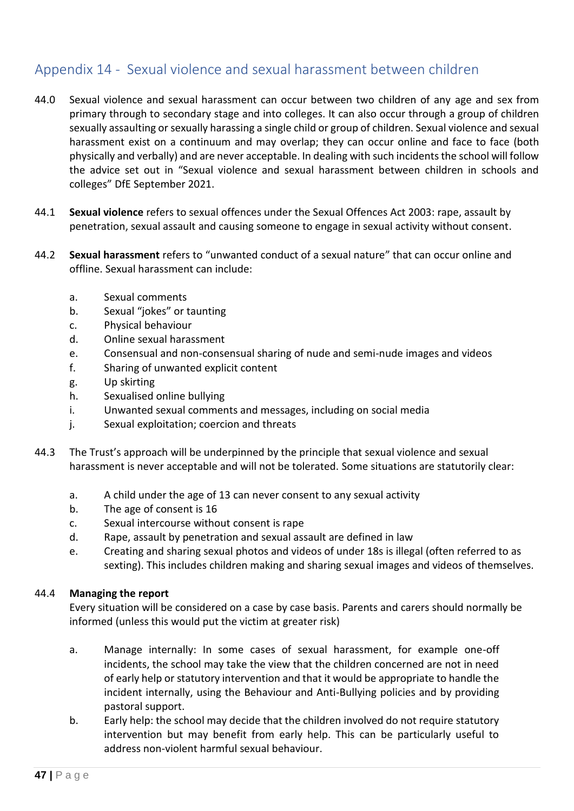### <span id="page-46-0"></span>Appendix 14 - Sexual violence and sexual harassment between children

- 44.0 Sexual violence and sexual harassment can occur between two children of any age and sex from primary through to secondary stage and into colleges. It can also occur through a group of children sexually assaulting or sexually harassing a single child or group of children. Sexual violence and sexual harassment exist on a continuum and may overlap; they can occur online and face to face (both physically and verbally) and are never acceptable. In dealing with such incidents the school will follow the advice set out in "Sexual violence and sexual harassment between children in schools and colleges" DfE September 2021.
- 44.1 **Sexual violence** refers to sexual offences under the Sexual Offences Act 2003: rape, assault by penetration, sexual assault and causing someone to engage in sexual activity without consent.
- 44.2 **Sexual harassment** refers to "unwanted conduct of a sexual nature" that can occur online and offline. Sexual harassment can include:
	- a. Sexual comments
	- b. Sexual "jokes" or taunting
	- c. Physical behaviour
	- d. Online sexual harassment
	- e. Consensual and non-consensual sharing of nude and semi-nude images and videos
	- f. Sharing of unwanted explicit content
	- g. Up skirting
	- h. Sexualised online bullying
	- i. Unwanted sexual comments and messages, including on social media
	- j. Sexual exploitation; coercion and threats
- 44.3 The Trust's approach will be underpinned by the principle that sexual violence and sexual harassment is never acceptable and will not be tolerated. Some situations are statutorily clear:
	- a. A child under the age of 13 can never consent to any sexual activity
	- b. The age of consent is 16
	- c. Sexual intercourse without consent is rape
	- d. Rape, assault by penetration and sexual assault are defined in law
	- e. Creating and sharing sexual photos and videos of under 18s is illegal (often referred to as sexting). This includes children making and sharing sexual images and videos of themselves.

#### 44.4 **Managing the report**

Every situation will be considered on a case by case basis. Parents and carers should normally be informed (unless this would put the victim at greater risk)

- a. Manage internally: In some cases of sexual harassment, for example one-off incidents, the school may take the view that the children concerned are not in need of early help or statutory intervention and that it would be appropriate to handle the incident internally, using the Behaviour and Anti-Bullying policies and by providing pastoral support.
- b. Early help: the school may decide that the children involved do not require statutory intervention but may benefit from early help. This can be particularly useful to address non-violent harmful sexual behaviour.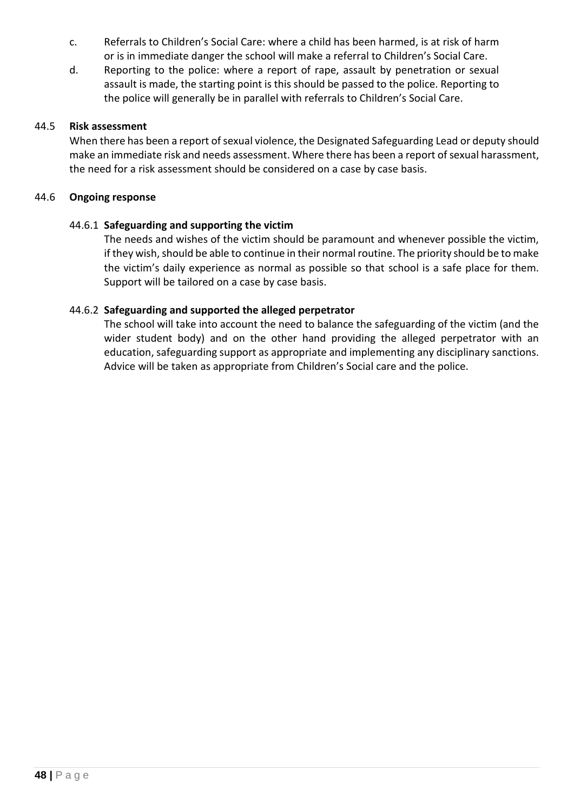- c. Referrals to Children's Social Care: where a child has been harmed, is at risk of harm or is in immediate danger the school will make a referral to Children's Social Care.
- d. Reporting to the police: where a report of rape, assault by penetration or sexual assault is made, the starting point is this should be passed to the police. Reporting to the police will generally be in parallel with referrals to Children's Social Care.

#### 44.5 **Risk assessment**

When there has been a report of sexual violence, the Designated Safeguarding Lead or deputy should make an immediate risk and needs assessment. Where there has been a report of sexual harassment, the need for a risk assessment should be considered on a case by case basis.

#### 44.6 **Ongoing response**

#### 44.6.1 **Safeguarding and supporting the victim**

The needs and wishes of the victim should be paramount and whenever possible the victim, if they wish, should be able to continue in their normal routine. The priority should be to make the victim's daily experience as normal as possible so that school is a safe place for them. Support will be tailored on a case by case basis.

### 44.6.2 **Safeguarding and supported the alleged perpetrator**

The school will take into account the need to balance the safeguarding of the victim (and the wider student body) and on the other hand providing the alleged perpetrator with an education, safeguarding support as appropriate and implementing any disciplinary sanctions. Advice will be taken as appropriate from Children's Social care and the police.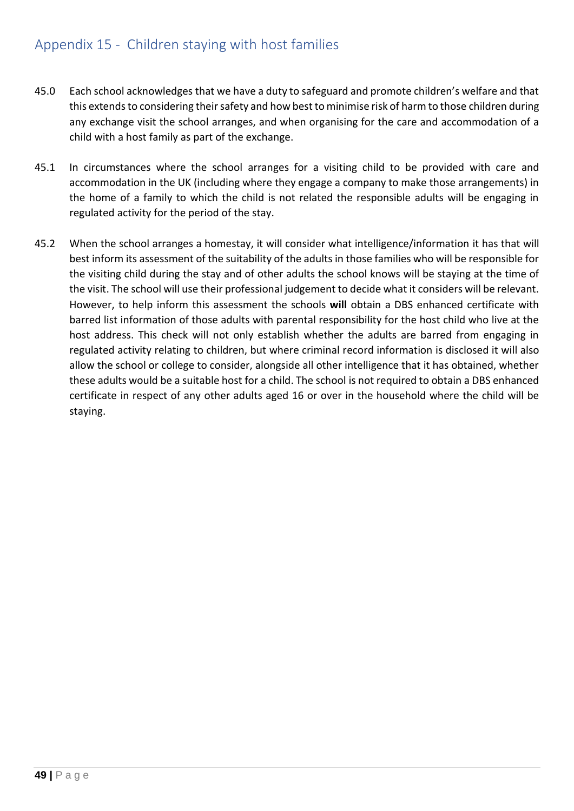### <span id="page-48-0"></span>Appendix 15 - Children staying with host families

- 45.0 Each school acknowledges that we have a duty to safeguard and promote children's welfare and that this extends to considering their safety and how best to minimise risk of harm to those children during any exchange visit the school arranges, and when organising for the care and accommodation of a child with a host family as part of the exchange.
- 45.1 In circumstances where the school arranges for a visiting child to be provided with care and accommodation in the UK (including where they engage a company to make those arrangements) in the home of a family to which the child is not related the responsible adults will be engaging in regulated activity for the period of the stay.
- 45.2 When the school arranges a homestay, it will consider what intelligence/information it has that will best inform its assessment of the suitability of the adults in those families who will be responsible for the visiting child during the stay and of other adults the school knows will be staying at the time of the visit. The school will use their professional judgement to decide what it considers will be relevant. However, to help inform this assessment the schools **will** obtain a DBS enhanced certificate with barred list information of those adults with parental responsibility for the host child who live at the host address. This check will not only establish whether the adults are barred from engaging in regulated activity relating to children, but where criminal record information is disclosed it will also allow the school or college to consider, alongside all other intelligence that it has obtained, whether these adults would be a suitable host for a child. The school is not required to obtain a DBS enhanced certificate in respect of any other adults aged 16 or over in the household where the child will be staying.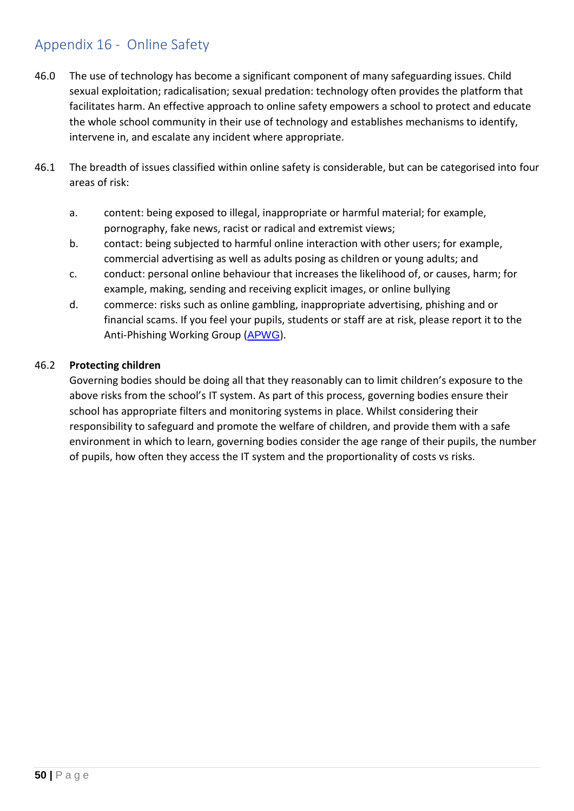### <span id="page-49-0"></span>Appendix 16 - Online Safety

- 46.0 The use of technology has become a significant component of many safeguarding issues. Child sexual exploitation; radicalisation; sexual predation: technology often provides the platform that facilitates harm. An effective approach to online safety empowers a school to protect and educate the whole school community in their use of technology and establishes mechanisms to identify, intervene in, and escalate any incident where appropriate.
- 46.1 The breadth of issues classified within online safety is considerable, but can be categorised into four areas of risk:
	- a. content: being exposed to illegal, inappropriate or harmful material; for example, pornography, fake news, racist or radical and extremist views;
	- b. contact: being subjected to harmful online interaction with other users; for example, commercial advertising as well as adults posing as children or young adults; and
	- c. conduct: personal online behaviour that increases the likelihood of, or causes, harm; for example, making, sending and receiving explicit images, or online bullying
	- d. commerce: risks such as online gambling, inappropriate advertising, phishing and or financial scams. If you feel your pupils, students or staff are at risk, please report it to the Anti-Phishing Working Group ([APWG](https://apwg.org/)).

#### 46.2 **Protecting children**

Governing bodies should be doing all that they reasonably can to limit children's exposure to the above risks from the school's IT system. As part of this process, governing bodies ensure their school has appropriate filters and monitoring systems in place. Whilst considering their responsibility to safeguard and promote the welfare of children, and provide them with a safe environment in which to learn, governing bodies consider the age range of their pupils, the number of pupils, how often they access the IT system and the proportionality of costs vs risks.